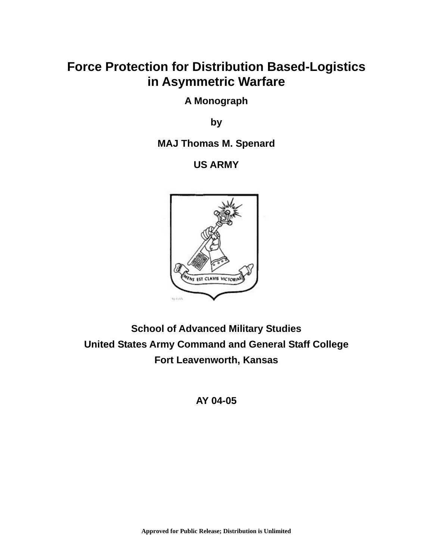# **Force Protection for Distribution Based-Logistics in Asymmetric Warfare**

**A Monograph** 

**by** 

**MAJ Thomas M. Spenard** 

**US ARMY** 



**School of Advanced Military Studies United States Army Command and General Staff College Fort Leavenworth, Kansas** 

**AY 04-05**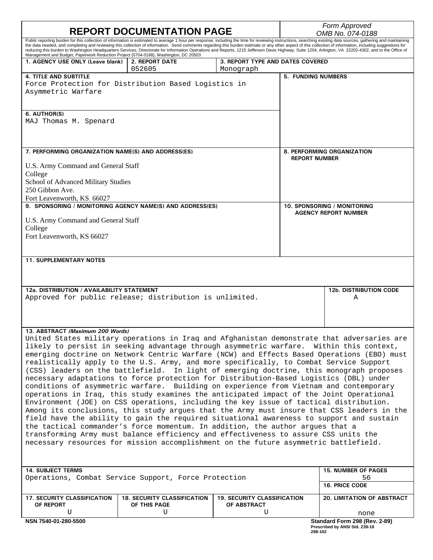| Public reporting burden for this collection of information is estimated to average 1 hour per response, including the time for reviewing instructions, searching existing data sources, gathering and maintaining<br>the data needed, and completing and reviewing this collection of information. Send comments regarding this burden estimate or any other aspect of this collection of information, including suggestions for<br>reducing this burden to Washington Headquarters Services, Directorate for Information Operations and Reports, 1215 Jefferson Davis Highway, Suite 1204, Arlington, VA 22202-4302, and to the Office of<br>Management and Budget, Paperwork Reduction Project (0704-0188), Washington, DC 20503<br>1. AGENCY USE ONLY (Leave blank)<br>2. REPORT DATE<br>3. REPORT TYPE AND DATES COVERED<br>052605<br>Monograph<br><b>4. TITLE AND SUBTITLE</b><br><b>5. FUNDING NUMBERS</b><br>Force Protection for Distribution Based Logistics in<br>Asymmetric Warfare<br>6. AUTHOR(S)<br>MAJ Thomas M. Spenard<br>7. PERFORMING ORGANIZATION NAME(S) AND ADDRESS(ES)<br>8. PERFORMING ORGANIZATION<br><b>REPORT NUMBER</b><br>U.S. Army Command and General Staff<br>College<br>School of Advanced Military Studies<br>250 Gibbon Ave.<br>Fort Leavenworth, KS 66027<br>9. SPONSORING / MONITORING AGENCY NAME(S) AND ADDRESS(ES)<br>10. SPONSORING / MONITORING<br><b>AGENCY REPORT NUMBER</b><br>U.S. Army Command and General Staff<br>College<br>Fort Leavenworth, KS 66027<br><b>11. SUPPLEMENTARY NOTES</b><br>12a. DISTRIBUTION / AVAILABILITY STATEMENT<br><b>12b. DISTRIBUTION CODE</b><br>Approved for public release; distribution is unlimited.<br>Α<br>13. ABSTRACT (Maximum 200 Words)<br>United States military operations in Iraq and Afghanistan demonstrate that adversaries are<br>likely to persist in seeking advantage through asymmetric warfare. Within this context,<br>emerging doctrine on Network Centric Warfare (NCW) and Effects Based Operations (EBO) must<br>realistically apply to the U.S. Army, and more specifically, to Combat Service Support<br>(CSS) leaders on the battlefield.<br>In light of emerging doctrine, this monograph proposes<br>necessary adaptations to force protection for Distribution-Based Logistics (DBL) under<br>conditions of asymmetric warfare. Building on experience from Vietnam and contemporary<br>operations in Iraq, this study examines the anticipated impact of the Joint Operational<br>Environment (JOE) on CSS operations, including the key issue of tactical distribution.<br>Among its conclusions, this study argues that the Army must insure that CSS leaders in the<br>field have the ability to gain the required situational awareness to support and sustain<br>the tactical commander's force momentum. In addition, the author argues that a<br>transforming Army must balance efficiency and effectiveness to assure CSS units the<br>necessary resources for mission accomplishment on the future asymmetric battlefield.<br><b>14. SUBJECT TERMS</b><br><b>15. NUMBER OF PAGES</b><br>Operations, Combat Service Support, Force Protection<br>56<br><b>16. PRICE CODE</b><br><b>17. SECURITY CLASSIFICATION</b><br><b>18. SECURITY CLASSIFICATION</b><br><b>19. SECURITY CLASSIFICATION</b><br><b>20. LIMITATION OF ABSTRACT</b><br>OF THIS PAGE<br>OF ABSTRACT<br>OF REPORT<br>U<br>U<br>U<br>none<br>NSN 7540-01-280-5500<br>Standard Form 298 (Rev. 2-89)<br>Prescribed by ANSI Std. Z39-18<br>298-102 |  | <b>REPORT DOCUMENTATION PAGE</b> |  | Form Approved<br>OMB No. 074-0188 |  |  |  |  |
|------------------------------------------------------------------------------------------------------------------------------------------------------------------------------------------------------------------------------------------------------------------------------------------------------------------------------------------------------------------------------------------------------------------------------------------------------------------------------------------------------------------------------------------------------------------------------------------------------------------------------------------------------------------------------------------------------------------------------------------------------------------------------------------------------------------------------------------------------------------------------------------------------------------------------------------------------------------------------------------------------------------------------------------------------------------------------------------------------------------------------------------------------------------------------------------------------------------------------------------------------------------------------------------------------------------------------------------------------------------------------------------------------------------------------------------------------------------------------------------------------------------------------------------------------------------------------------------------------------------------------------------------------------------------------------------------------------------------------------------------------------------------------------------------------------------------------------------------------------------------------------------------------------------------------------------------------------------------------------------------------------------------------------------------------------------------------------------------------------------------------------------------------------------------------------------------------------------------------------------------------------------------------------------------------------------------------------------------------------------------------------------------------------------------------------------------------------------------------------------------------------------------------------------------------------------------------------------------------------------------------------------------------------------------------------------------------------------------------------------------------------------------------------------------------------------------------------------------------------------------------------------------------------------------------------------------------------------------------------------------------------------------------------------------------------------------------------------------------------------------------------------------------------------------------------------------------------------------------------------------------------------------------------------------------------------------------------------------------------------------------------------------------------------------------------------------------------------------------------------------------------------------------------|--|----------------------------------|--|-----------------------------------|--|--|--|--|
|                                                                                                                                                                                                                                                                                                                                                                                                                                                                                                                                                                                                                                                                                                                                                                                                                                                                                                                                                                                                                                                                                                                                                                                                                                                                                                                                                                                                                                                                                                                                                                                                                                                                                                                                                                                                                                                                                                                                                                                                                                                                                                                                                                                                                                                                                                                                                                                                                                                                                                                                                                                                                                                                                                                                                                                                                                                                                                                                                                                                                                                                                                                                                                                                                                                                                                                                                                                                                                                                                                                                    |  |                                  |  |                                   |  |  |  |  |
|                                                                                                                                                                                                                                                                                                                                                                                                                                                                                                                                                                                                                                                                                                                                                                                                                                                                                                                                                                                                                                                                                                                                                                                                                                                                                                                                                                                                                                                                                                                                                                                                                                                                                                                                                                                                                                                                                                                                                                                                                                                                                                                                                                                                                                                                                                                                                                                                                                                                                                                                                                                                                                                                                                                                                                                                                                                                                                                                                                                                                                                                                                                                                                                                                                                                                                                                                                                                                                                                                                                                    |  |                                  |  |                                   |  |  |  |  |
|                                                                                                                                                                                                                                                                                                                                                                                                                                                                                                                                                                                                                                                                                                                                                                                                                                                                                                                                                                                                                                                                                                                                                                                                                                                                                                                                                                                                                                                                                                                                                                                                                                                                                                                                                                                                                                                                                                                                                                                                                                                                                                                                                                                                                                                                                                                                                                                                                                                                                                                                                                                                                                                                                                                                                                                                                                                                                                                                                                                                                                                                                                                                                                                                                                                                                                                                                                                                                                                                                                                                    |  |                                  |  |                                   |  |  |  |  |
|                                                                                                                                                                                                                                                                                                                                                                                                                                                                                                                                                                                                                                                                                                                                                                                                                                                                                                                                                                                                                                                                                                                                                                                                                                                                                                                                                                                                                                                                                                                                                                                                                                                                                                                                                                                                                                                                                                                                                                                                                                                                                                                                                                                                                                                                                                                                                                                                                                                                                                                                                                                                                                                                                                                                                                                                                                                                                                                                                                                                                                                                                                                                                                                                                                                                                                                                                                                                                                                                                                                                    |  |                                  |  |                                   |  |  |  |  |
|                                                                                                                                                                                                                                                                                                                                                                                                                                                                                                                                                                                                                                                                                                                                                                                                                                                                                                                                                                                                                                                                                                                                                                                                                                                                                                                                                                                                                                                                                                                                                                                                                                                                                                                                                                                                                                                                                                                                                                                                                                                                                                                                                                                                                                                                                                                                                                                                                                                                                                                                                                                                                                                                                                                                                                                                                                                                                                                                                                                                                                                                                                                                                                                                                                                                                                                                                                                                                                                                                                                                    |  |                                  |  |                                   |  |  |  |  |
|                                                                                                                                                                                                                                                                                                                                                                                                                                                                                                                                                                                                                                                                                                                                                                                                                                                                                                                                                                                                                                                                                                                                                                                                                                                                                                                                                                                                                                                                                                                                                                                                                                                                                                                                                                                                                                                                                                                                                                                                                                                                                                                                                                                                                                                                                                                                                                                                                                                                                                                                                                                                                                                                                                                                                                                                                                                                                                                                                                                                                                                                                                                                                                                                                                                                                                                                                                                                                                                                                                                                    |  |                                  |  |                                   |  |  |  |  |
|                                                                                                                                                                                                                                                                                                                                                                                                                                                                                                                                                                                                                                                                                                                                                                                                                                                                                                                                                                                                                                                                                                                                                                                                                                                                                                                                                                                                                                                                                                                                                                                                                                                                                                                                                                                                                                                                                                                                                                                                                                                                                                                                                                                                                                                                                                                                                                                                                                                                                                                                                                                                                                                                                                                                                                                                                                                                                                                                                                                                                                                                                                                                                                                                                                                                                                                                                                                                                                                                                                                                    |  |                                  |  |                                   |  |  |  |  |
|                                                                                                                                                                                                                                                                                                                                                                                                                                                                                                                                                                                                                                                                                                                                                                                                                                                                                                                                                                                                                                                                                                                                                                                                                                                                                                                                                                                                                                                                                                                                                                                                                                                                                                                                                                                                                                                                                                                                                                                                                                                                                                                                                                                                                                                                                                                                                                                                                                                                                                                                                                                                                                                                                                                                                                                                                                                                                                                                                                                                                                                                                                                                                                                                                                                                                                                                                                                                                                                                                                                                    |  |                                  |  |                                   |  |  |  |  |
|                                                                                                                                                                                                                                                                                                                                                                                                                                                                                                                                                                                                                                                                                                                                                                                                                                                                                                                                                                                                                                                                                                                                                                                                                                                                                                                                                                                                                                                                                                                                                                                                                                                                                                                                                                                                                                                                                                                                                                                                                                                                                                                                                                                                                                                                                                                                                                                                                                                                                                                                                                                                                                                                                                                                                                                                                                                                                                                                                                                                                                                                                                                                                                                                                                                                                                                                                                                                                                                                                                                                    |  |                                  |  |                                   |  |  |  |  |
|                                                                                                                                                                                                                                                                                                                                                                                                                                                                                                                                                                                                                                                                                                                                                                                                                                                                                                                                                                                                                                                                                                                                                                                                                                                                                                                                                                                                                                                                                                                                                                                                                                                                                                                                                                                                                                                                                                                                                                                                                                                                                                                                                                                                                                                                                                                                                                                                                                                                                                                                                                                                                                                                                                                                                                                                                                                                                                                                                                                                                                                                                                                                                                                                                                                                                                                                                                                                                                                                                                                                    |  |                                  |  |                                   |  |  |  |  |
|                                                                                                                                                                                                                                                                                                                                                                                                                                                                                                                                                                                                                                                                                                                                                                                                                                                                                                                                                                                                                                                                                                                                                                                                                                                                                                                                                                                                                                                                                                                                                                                                                                                                                                                                                                                                                                                                                                                                                                                                                                                                                                                                                                                                                                                                                                                                                                                                                                                                                                                                                                                                                                                                                                                                                                                                                                                                                                                                                                                                                                                                                                                                                                                                                                                                                                                                                                                                                                                                                                                                    |  |                                  |  |                                   |  |  |  |  |
|                                                                                                                                                                                                                                                                                                                                                                                                                                                                                                                                                                                                                                                                                                                                                                                                                                                                                                                                                                                                                                                                                                                                                                                                                                                                                                                                                                                                                                                                                                                                                                                                                                                                                                                                                                                                                                                                                                                                                                                                                                                                                                                                                                                                                                                                                                                                                                                                                                                                                                                                                                                                                                                                                                                                                                                                                                                                                                                                                                                                                                                                                                                                                                                                                                                                                                                                                                                                                                                                                                                                    |  |                                  |  |                                   |  |  |  |  |
|                                                                                                                                                                                                                                                                                                                                                                                                                                                                                                                                                                                                                                                                                                                                                                                                                                                                                                                                                                                                                                                                                                                                                                                                                                                                                                                                                                                                                                                                                                                                                                                                                                                                                                                                                                                                                                                                                                                                                                                                                                                                                                                                                                                                                                                                                                                                                                                                                                                                                                                                                                                                                                                                                                                                                                                                                                                                                                                                                                                                                                                                                                                                                                                                                                                                                                                                                                                                                                                                                                                                    |  |                                  |  |                                   |  |  |  |  |
|                                                                                                                                                                                                                                                                                                                                                                                                                                                                                                                                                                                                                                                                                                                                                                                                                                                                                                                                                                                                                                                                                                                                                                                                                                                                                                                                                                                                                                                                                                                                                                                                                                                                                                                                                                                                                                                                                                                                                                                                                                                                                                                                                                                                                                                                                                                                                                                                                                                                                                                                                                                                                                                                                                                                                                                                                                                                                                                                                                                                                                                                                                                                                                                                                                                                                                                                                                                                                                                                                                                                    |  |                                  |  |                                   |  |  |  |  |
|                                                                                                                                                                                                                                                                                                                                                                                                                                                                                                                                                                                                                                                                                                                                                                                                                                                                                                                                                                                                                                                                                                                                                                                                                                                                                                                                                                                                                                                                                                                                                                                                                                                                                                                                                                                                                                                                                                                                                                                                                                                                                                                                                                                                                                                                                                                                                                                                                                                                                                                                                                                                                                                                                                                                                                                                                                                                                                                                                                                                                                                                                                                                                                                                                                                                                                                                                                                                                                                                                                                                    |  |                                  |  |                                   |  |  |  |  |
|                                                                                                                                                                                                                                                                                                                                                                                                                                                                                                                                                                                                                                                                                                                                                                                                                                                                                                                                                                                                                                                                                                                                                                                                                                                                                                                                                                                                                                                                                                                                                                                                                                                                                                                                                                                                                                                                                                                                                                                                                                                                                                                                                                                                                                                                                                                                                                                                                                                                                                                                                                                                                                                                                                                                                                                                                                                                                                                                                                                                                                                                                                                                                                                                                                                                                                                                                                                                                                                                                                                                    |  |                                  |  |                                   |  |  |  |  |
|                                                                                                                                                                                                                                                                                                                                                                                                                                                                                                                                                                                                                                                                                                                                                                                                                                                                                                                                                                                                                                                                                                                                                                                                                                                                                                                                                                                                                                                                                                                                                                                                                                                                                                                                                                                                                                                                                                                                                                                                                                                                                                                                                                                                                                                                                                                                                                                                                                                                                                                                                                                                                                                                                                                                                                                                                                                                                                                                                                                                                                                                                                                                                                                                                                                                                                                                                                                                                                                                                                                                    |  |                                  |  |                                   |  |  |  |  |
|                                                                                                                                                                                                                                                                                                                                                                                                                                                                                                                                                                                                                                                                                                                                                                                                                                                                                                                                                                                                                                                                                                                                                                                                                                                                                                                                                                                                                                                                                                                                                                                                                                                                                                                                                                                                                                                                                                                                                                                                                                                                                                                                                                                                                                                                                                                                                                                                                                                                                                                                                                                                                                                                                                                                                                                                                                                                                                                                                                                                                                                                                                                                                                                                                                                                                                                                                                                                                                                                                                                                    |  |                                  |  |                                   |  |  |  |  |
|                                                                                                                                                                                                                                                                                                                                                                                                                                                                                                                                                                                                                                                                                                                                                                                                                                                                                                                                                                                                                                                                                                                                                                                                                                                                                                                                                                                                                                                                                                                                                                                                                                                                                                                                                                                                                                                                                                                                                                                                                                                                                                                                                                                                                                                                                                                                                                                                                                                                                                                                                                                                                                                                                                                                                                                                                                                                                                                                                                                                                                                                                                                                                                                                                                                                                                                                                                                                                                                                                                                                    |  |                                  |  |                                   |  |  |  |  |
|                                                                                                                                                                                                                                                                                                                                                                                                                                                                                                                                                                                                                                                                                                                                                                                                                                                                                                                                                                                                                                                                                                                                                                                                                                                                                                                                                                                                                                                                                                                                                                                                                                                                                                                                                                                                                                                                                                                                                                                                                                                                                                                                                                                                                                                                                                                                                                                                                                                                                                                                                                                                                                                                                                                                                                                                                                                                                                                                                                                                                                                                                                                                                                                                                                                                                                                                                                                                                                                                                                                                    |  |                                  |  |                                   |  |  |  |  |
|                                                                                                                                                                                                                                                                                                                                                                                                                                                                                                                                                                                                                                                                                                                                                                                                                                                                                                                                                                                                                                                                                                                                                                                                                                                                                                                                                                                                                                                                                                                                                                                                                                                                                                                                                                                                                                                                                                                                                                                                                                                                                                                                                                                                                                                                                                                                                                                                                                                                                                                                                                                                                                                                                                                                                                                                                                                                                                                                                                                                                                                                                                                                                                                                                                                                                                                                                                                                                                                                                                                                    |  |                                  |  |                                   |  |  |  |  |
|                                                                                                                                                                                                                                                                                                                                                                                                                                                                                                                                                                                                                                                                                                                                                                                                                                                                                                                                                                                                                                                                                                                                                                                                                                                                                                                                                                                                                                                                                                                                                                                                                                                                                                                                                                                                                                                                                                                                                                                                                                                                                                                                                                                                                                                                                                                                                                                                                                                                                                                                                                                                                                                                                                                                                                                                                                                                                                                                                                                                                                                                                                                                                                                                                                                                                                                                                                                                                                                                                                                                    |  |                                  |  |                                   |  |  |  |  |
|                                                                                                                                                                                                                                                                                                                                                                                                                                                                                                                                                                                                                                                                                                                                                                                                                                                                                                                                                                                                                                                                                                                                                                                                                                                                                                                                                                                                                                                                                                                                                                                                                                                                                                                                                                                                                                                                                                                                                                                                                                                                                                                                                                                                                                                                                                                                                                                                                                                                                                                                                                                                                                                                                                                                                                                                                                                                                                                                                                                                                                                                                                                                                                                                                                                                                                                                                                                                                                                                                                                                    |  |                                  |  |                                   |  |  |  |  |
|                                                                                                                                                                                                                                                                                                                                                                                                                                                                                                                                                                                                                                                                                                                                                                                                                                                                                                                                                                                                                                                                                                                                                                                                                                                                                                                                                                                                                                                                                                                                                                                                                                                                                                                                                                                                                                                                                                                                                                                                                                                                                                                                                                                                                                                                                                                                                                                                                                                                                                                                                                                                                                                                                                                                                                                                                                                                                                                                                                                                                                                                                                                                                                                                                                                                                                                                                                                                                                                                                                                                    |  |                                  |  |                                   |  |  |  |  |
|                                                                                                                                                                                                                                                                                                                                                                                                                                                                                                                                                                                                                                                                                                                                                                                                                                                                                                                                                                                                                                                                                                                                                                                                                                                                                                                                                                                                                                                                                                                                                                                                                                                                                                                                                                                                                                                                                                                                                                                                                                                                                                                                                                                                                                                                                                                                                                                                                                                                                                                                                                                                                                                                                                                                                                                                                                                                                                                                                                                                                                                                                                                                                                                                                                                                                                                                                                                                                                                                                                                                    |  |                                  |  |                                   |  |  |  |  |
|                                                                                                                                                                                                                                                                                                                                                                                                                                                                                                                                                                                                                                                                                                                                                                                                                                                                                                                                                                                                                                                                                                                                                                                                                                                                                                                                                                                                                                                                                                                                                                                                                                                                                                                                                                                                                                                                                                                                                                                                                                                                                                                                                                                                                                                                                                                                                                                                                                                                                                                                                                                                                                                                                                                                                                                                                                                                                                                                                                                                                                                                                                                                                                                                                                                                                                                                                                                                                                                                                                                                    |  |                                  |  |                                   |  |  |  |  |
|                                                                                                                                                                                                                                                                                                                                                                                                                                                                                                                                                                                                                                                                                                                                                                                                                                                                                                                                                                                                                                                                                                                                                                                                                                                                                                                                                                                                                                                                                                                                                                                                                                                                                                                                                                                                                                                                                                                                                                                                                                                                                                                                                                                                                                                                                                                                                                                                                                                                                                                                                                                                                                                                                                                                                                                                                                                                                                                                                                                                                                                                                                                                                                                                                                                                                                                                                                                                                                                                                                                                    |  |                                  |  |                                   |  |  |  |  |
|                                                                                                                                                                                                                                                                                                                                                                                                                                                                                                                                                                                                                                                                                                                                                                                                                                                                                                                                                                                                                                                                                                                                                                                                                                                                                                                                                                                                                                                                                                                                                                                                                                                                                                                                                                                                                                                                                                                                                                                                                                                                                                                                                                                                                                                                                                                                                                                                                                                                                                                                                                                                                                                                                                                                                                                                                                                                                                                                                                                                                                                                                                                                                                                                                                                                                                                                                                                                                                                                                                                                    |  |                                  |  |                                   |  |  |  |  |
|                                                                                                                                                                                                                                                                                                                                                                                                                                                                                                                                                                                                                                                                                                                                                                                                                                                                                                                                                                                                                                                                                                                                                                                                                                                                                                                                                                                                                                                                                                                                                                                                                                                                                                                                                                                                                                                                                                                                                                                                                                                                                                                                                                                                                                                                                                                                                                                                                                                                                                                                                                                                                                                                                                                                                                                                                                                                                                                                                                                                                                                                                                                                                                                                                                                                                                                                                                                                                                                                                                                                    |  |                                  |  |                                   |  |  |  |  |
|                                                                                                                                                                                                                                                                                                                                                                                                                                                                                                                                                                                                                                                                                                                                                                                                                                                                                                                                                                                                                                                                                                                                                                                                                                                                                                                                                                                                                                                                                                                                                                                                                                                                                                                                                                                                                                                                                                                                                                                                                                                                                                                                                                                                                                                                                                                                                                                                                                                                                                                                                                                                                                                                                                                                                                                                                                                                                                                                                                                                                                                                                                                                                                                                                                                                                                                                                                                                                                                                                                                                    |  |                                  |  |                                   |  |  |  |  |
|                                                                                                                                                                                                                                                                                                                                                                                                                                                                                                                                                                                                                                                                                                                                                                                                                                                                                                                                                                                                                                                                                                                                                                                                                                                                                                                                                                                                                                                                                                                                                                                                                                                                                                                                                                                                                                                                                                                                                                                                                                                                                                                                                                                                                                                                                                                                                                                                                                                                                                                                                                                                                                                                                                                                                                                                                                                                                                                                                                                                                                                                                                                                                                                                                                                                                                                                                                                                                                                                                                                                    |  |                                  |  |                                   |  |  |  |  |
|                                                                                                                                                                                                                                                                                                                                                                                                                                                                                                                                                                                                                                                                                                                                                                                                                                                                                                                                                                                                                                                                                                                                                                                                                                                                                                                                                                                                                                                                                                                                                                                                                                                                                                                                                                                                                                                                                                                                                                                                                                                                                                                                                                                                                                                                                                                                                                                                                                                                                                                                                                                                                                                                                                                                                                                                                                                                                                                                                                                                                                                                                                                                                                                                                                                                                                                                                                                                                                                                                                                                    |  |                                  |  |                                   |  |  |  |  |
|                                                                                                                                                                                                                                                                                                                                                                                                                                                                                                                                                                                                                                                                                                                                                                                                                                                                                                                                                                                                                                                                                                                                                                                                                                                                                                                                                                                                                                                                                                                                                                                                                                                                                                                                                                                                                                                                                                                                                                                                                                                                                                                                                                                                                                                                                                                                                                                                                                                                                                                                                                                                                                                                                                                                                                                                                                                                                                                                                                                                                                                                                                                                                                                                                                                                                                                                                                                                                                                                                                                                    |  |                                  |  |                                   |  |  |  |  |
|                                                                                                                                                                                                                                                                                                                                                                                                                                                                                                                                                                                                                                                                                                                                                                                                                                                                                                                                                                                                                                                                                                                                                                                                                                                                                                                                                                                                                                                                                                                                                                                                                                                                                                                                                                                                                                                                                                                                                                                                                                                                                                                                                                                                                                                                                                                                                                                                                                                                                                                                                                                                                                                                                                                                                                                                                                                                                                                                                                                                                                                                                                                                                                                                                                                                                                                                                                                                                                                                                                                                    |  |                                  |  |                                   |  |  |  |  |
|                                                                                                                                                                                                                                                                                                                                                                                                                                                                                                                                                                                                                                                                                                                                                                                                                                                                                                                                                                                                                                                                                                                                                                                                                                                                                                                                                                                                                                                                                                                                                                                                                                                                                                                                                                                                                                                                                                                                                                                                                                                                                                                                                                                                                                                                                                                                                                                                                                                                                                                                                                                                                                                                                                                                                                                                                                                                                                                                                                                                                                                                                                                                                                                                                                                                                                                                                                                                                                                                                                                                    |  |                                  |  |                                   |  |  |  |  |
|                                                                                                                                                                                                                                                                                                                                                                                                                                                                                                                                                                                                                                                                                                                                                                                                                                                                                                                                                                                                                                                                                                                                                                                                                                                                                                                                                                                                                                                                                                                                                                                                                                                                                                                                                                                                                                                                                                                                                                                                                                                                                                                                                                                                                                                                                                                                                                                                                                                                                                                                                                                                                                                                                                                                                                                                                                                                                                                                                                                                                                                                                                                                                                                                                                                                                                                                                                                                                                                                                                                                    |  |                                  |  |                                   |  |  |  |  |
|                                                                                                                                                                                                                                                                                                                                                                                                                                                                                                                                                                                                                                                                                                                                                                                                                                                                                                                                                                                                                                                                                                                                                                                                                                                                                                                                                                                                                                                                                                                                                                                                                                                                                                                                                                                                                                                                                                                                                                                                                                                                                                                                                                                                                                                                                                                                                                                                                                                                                                                                                                                                                                                                                                                                                                                                                                                                                                                                                                                                                                                                                                                                                                                                                                                                                                                                                                                                                                                                                                                                    |  |                                  |  |                                   |  |  |  |  |
|                                                                                                                                                                                                                                                                                                                                                                                                                                                                                                                                                                                                                                                                                                                                                                                                                                                                                                                                                                                                                                                                                                                                                                                                                                                                                                                                                                                                                                                                                                                                                                                                                                                                                                                                                                                                                                                                                                                                                                                                                                                                                                                                                                                                                                                                                                                                                                                                                                                                                                                                                                                                                                                                                                                                                                                                                                                                                                                                                                                                                                                                                                                                                                                                                                                                                                                                                                                                                                                                                                                                    |  |                                  |  |                                   |  |  |  |  |
|                                                                                                                                                                                                                                                                                                                                                                                                                                                                                                                                                                                                                                                                                                                                                                                                                                                                                                                                                                                                                                                                                                                                                                                                                                                                                                                                                                                                                                                                                                                                                                                                                                                                                                                                                                                                                                                                                                                                                                                                                                                                                                                                                                                                                                                                                                                                                                                                                                                                                                                                                                                                                                                                                                                                                                                                                                                                                                                                                                                                                                                                                                                                                                                                                                                                                                                                                                                                                                                                                                                                    |  |                                  |  |                                   |  |  |  |  |
|                                                                                                                                                                                                                                                                                                                                                                                                                                                                                                                                                                                                                                                                                                                                                                                                                                                                                                                                                                                                                                                                                                                                                                                                                                                                                                                                                                                                                                                                                                                                                                                                                                                                                                                                                                                                                                                                                                                                                                                                                                                                                                                                                                                                                                                                                                                                                                                                                                                                                                                                                                                                                                                                                                                                                                                                                                                                                                                                                                                                                                                                                                                                                                                                                                                                                                                                                                                                                                                                                                                                    |  |                                  |  |                                   |  |  |  |  |
|                                                                                                                                                                                                                                                                                                                                                                                                                                                                                                                                                                                                                                                                                                                                                                                                                                                                                                                                                                                                                                                                                                                                                                                                                                                                                                                                                                                                                                                                                                                                                                                                                                                                                                                                                                                                                                                                                                                                                                                                                                                                                                                                                                                                                                                                                                                                                                                                                                                                                                                                                                                                                                                                                                                                                                                                                                                                                                                                                                                                                                                                                                                                                                                                                                                                                                                                                                                                                                                                                                                                    |  |                                  |  |                                   |  |  |  |  |
|                                                                                                                                                                                                                                                                                                                                                                                                                                                                                                                                                                                                                                                                                                                                                                                                                                                                                                                                                                                                                                                                                                                                                                                                                                                                                                                                                                                                                                                                                                                                                                                                                                                                                                                                                                                                                                                                                                                                                                                                                                                                                                                                                                                                                                                                                                                                                                                                                                                                                                                                                                                                                                                                                                                                                                                                                                                                                                                                                                                                                                                                                                                                                                                                                                                                                                                                                                                                                                                                                                                                    |  |                                  |  |                                   |  |  |  |  |
|                                                                                                                                                                                                                                                                                                                                                                                                                                                                                                                                                                                                                                                                                                                                                                                                                                                                                                                                                                                                                                                                                                                                                                                                                                                                                                                                                                                                                                                                                                                                                                                                                                                                                                                                                                                                                                                                                                                                                                                                                                                                                                                                                                                                                                                                                                                                                                                                                                                                                                                                                                                                                                                                                                                                                                                                                                                                                                                                                                                                                                                                                                                                                                                                                                                                                                                                                                                                                                                                                                                                    |  |                                  |  |                                   |  |  |  |  |
|                                                                                                                                                                                                                                                                                                                                                                                                                                                                                                                                                                                                                                                                                                                                                                                                                                                                                                                                                                                                                                                                                                                                                                                                                                                                                                                                                                                                                                                                                                                                                                                                                                                                                                                                                                                                                                                                                                                                                                                                                                                                                                                                                                                                                                                                                                                                                                                                                                                                                                                                                                                                                                                                                                                                                                                                                                                                                                                                                                                                                                                                                                                                                                                                                                                                                                                                                                                                                                                                                                                                    |  |                                  |  |                                   |  |  |  |  |
|                                                                                                                                                                                                                                                                                                                                                                                                                                                                                                                                                                                                                                                                                                                                                                                                                                                                                                                                                                                                                                                                                                                                                                                                                                                                                                                                                                                                                                                                                                                                                                                                                                                                                                                                                                                                                                                                                                                                                                                                                                                                                                                                                                                                                                                                                                                                                                                                                                                                                                                                                                                                                                                                                                                                                                                                                                                                                                                                                                                                                                                                                                                                                                                                                                                                                                                                                                                                                                                                                                                                    |  |                                  |  |                                   |  |  |  |  |
|                                                                                                                                                                                                                                                                                                                                                                                                                                                                                                                                                                                                                                                                                                                                                                                                                                                                                                                                                                                                                                                                                                                                                                                                                                                                                                                                                                                                                                                                                                                                                                                                                                                                                                                                                                                                                                                                                                                                                                                                                                                                                                                                                                                                                                                                                                                                                                                                                                                                                                                                                                                                                                                                                                                                                                                                                                                                                                                                                                                                                                                                                                                                                                                                                                                                                                                                                                                                                                                                                                                                    |  |                                  |  |                                   |  |  |  |  |
|                                                                                                                                                                                                                                                                                                                                                                                                                                                                                                                                                                                                                                                                                                                                                                                                                                                                                                                                                                                                                                                                                                                                                                                                                                                                                                                                                                                                                                                                                                                                                                                                                                                                                                                                                                                                                                                                                                                                                                                                                                                                                                                                                                                                                                                                                                                                                                                                                                                                                                                                                                                                                                                                                                                                                                                                                                                                                                                                                                                                                                                                                                                                                                                                                                                                                                                                                                                                                                                                                                                                    |  |                                  |  |                                   |  |  |  |  |
|                                                                                                                                                                                                                                                                                                                                                                                                                                                                                                                                                                                                                                                                                                                                                                                                                                                                                                                                                                                                                                                                                                                                                                                                                                                                                                                                                                                                                                                                                                                                                                                                                                                                                                                                                                                                                                                                                                                                                                                                                                                                                                                                                                                                                                                                                                                                                                                                                                                                                                                                                                                                                                                                                                                                                                                                                                                                                                                                                                                                                                                                                                                                                                                                                                                                                                                                                                                                                                                                                                                                    |  |                                  |  |                                   |  |  |  |  |
|                                                                                                                                                                                                                                                                                                                                                                                                                                                                                                                                                                                                                                                                                                                                                                                                                                                                                                                                                                                                                                                                                                                                                                                                                                                                                                                                                                                                                                                                                                                                                                                                                                                                                                                                                                                                                                                                                                                                                                                                                                                                                                                                                                                                                                                                                                                                                                                                                                                                                                                                                                                                                                                                                                                                                                                                                                                                                                                                                                                                                                                                                                                                                                                                                                                                                                                                                                                                                                                                                                                                    |  |                                  |  |                                   |  |  |  |  |
|                                                                                                                                                                                                                                                                                                                                                                                                                                                                                                                                                                                                                                                                                                                                                                                                                                                                                                                                                                                                                                                                                                                                                                                                                                                                                                                                                                                                                                                                                                                                                                                                                                                                                                                                                                                                                                                                                                                                                                                                                                                                                                                                                                                                                                                                                                                                                                                                                                                                                                                                                                                                                                                                                                                                                                                                                                                                                                                                                                                                                                                                                                                                                                                                                                                                                                                                                                                                                                                                                                                                    |  |                                  |  |                                   |  |  |  |  |
|                                                                                                                                                                                                                                                                                                                                                                                                                                                                                                                                                                                                                                                                                                                                                                                                                                                                                                                                                                                                                                                                                                                                                                                                                                                                                                                                                                                                                                                                                                                                                                                                                                                                                                                                                                                                                                                                                                                                                                                                                                                                                                                                                                                                                                                                                                                                                                                                                                                                                                                                                                                                                                                                                                                                                                                                                                                                                                                                                                                                                                                                                                                                                                                                                                                                                                                                                                                                                                                                                                                                    |  |                                  |  |                                   |  |  |  |  |
|                                                                                                                                                                                                                                                                                                                                                                                                                                                                                                                                                                                                                                                                                                                                                                                                                                                                                                                                                                                                                                                                                                                                                                                                                                                                                                                                                                                                                                                                                                                                                                                                                                                                                                                                                                                                                                                                                                                                                                                                                                                                                                                                                                                                                                                                                                                                                                                                                                                                                                                                                                                                                                                                                                                                                                                                                                                                                                                                                                                                                                                                                                                                                                                                                                                                                                                                                                                                                                                                                                                                    |  |                                  |  |                                   |  |  |  |  |
|                                                                                                                                                                                                                                                                                                                                                                                                                                                                                                                                                                                                                                                                                                                                                                                                                                                                                                                                                                                                                                                                                                                                                                                                                                                                                                                                                                                                                                                                                                                                                                                                                                                                                                                                                                                                                                                                                                                                                                                                                                                                                                                                                                                                                                                                                                                                                                                                                                                                                                                                                                                                                                                                                                                                                                                                                                                                                                                                                                                                                                                                                                                                                                                                                                                                                                                                                                                                                                                                                                                                    |  |                                  |  |                                   |  |  |  |  |
|                                                                                                                                                                                                                                                                                                                                                                                                                                                                                                                                                                                                                                                                                                                                                                                                                                                                                                                                                                                                                                                                                                                                                                                                                                                                                                                                                                                                                                                                                                                                                                                                                                                                                                                                                                                                                                                                                                                                                                                                                                                                                                                                                                                                                                                                                                                                                                                                                                                                                                                                                                                                                                                                                                                                                                                                                                                                                                                                                                                                                                                                                                                                                                                                                                                                                                                                                                                                                                                                                                                                    |  |                                  |  |                                   |  |  |  |  |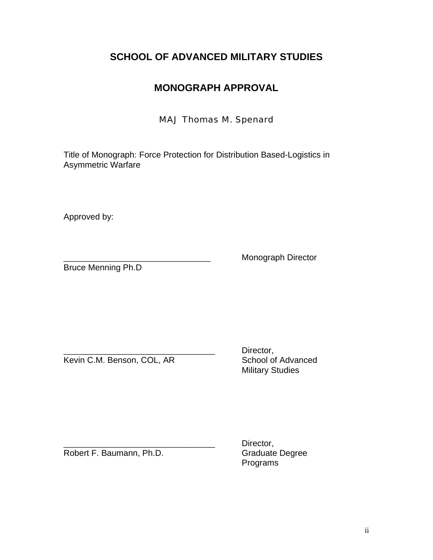# **SCHOOL OF ADVANCED MILITARY STUDIES**

# **MONOGRAPH APPROVAL**

# MAJ Thomas M. Spenard

Title of Monograph: Force Protection for Distribution Based-Logistics in Asymmetric Warfare

Approved by:

Bruce Menning Ph.D

Monograph Director

Kevin C.M. Benson, COL, AR School of Advanced

Director, Military Studies

Robert F. Baumann, Ph.D.

Director,<br>Graduate Degree Programs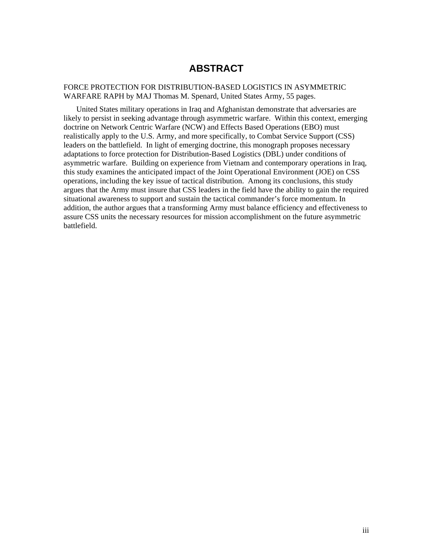# **ABSTRACT**

<span id="page-3-0"></span>FORCE PROTECTION FOR DISTRIBUTION-BASED LOGISTICS IN ASYMMETRIC WARFARE RAPH by MAJ Thomas M. Spenard, United States Army, 55 pages.

United States military operations in Iraq and Afghanistan demonstrate that adversaries are likely to persist in seeking advantage through asymmetric warfare. Within this context, emerging doctrine on Network Centric Warfare (NCW) and Effects Based Operations (EBO) must realistically apply to the U.S. Army, and more specifically, to Combat Service Support (CSS) leaders on the battlefield. In light of emerging doctrine, this monograph proposes necessary adaptations to force protection for Distribution-Based Logistics (DBL) under conditions of asymmetric warfare. Building on experience from Vietnam and contemporary operations in Iraq, this study examines the anticipated impact of the Joint Operational Environment (JOE) on CSS operations, including the key issue of tactical distribution. Among its conclusions, this study argues that the Army must insure that CSS leaders in the field have the ability to gain the required situational awareness to support and sustain the tactical commander's force momentum. In addition, the author argues that a transforming Army must balance efficiency and effectiveness to assure CSS units the necessary resources for mission accomplishment on the future asymmetric battlefield.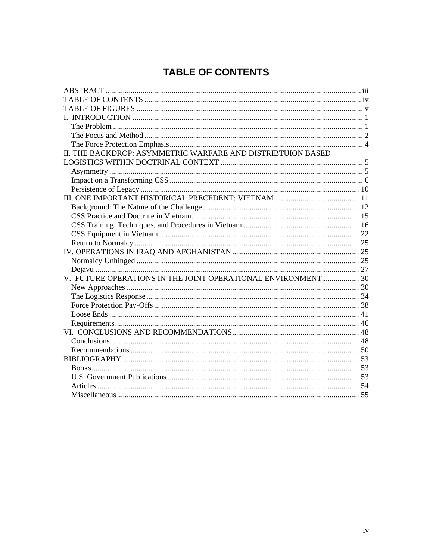# **TABLE OF CONTENTS**

<span id="page-4-0"></span>

| II. THE BACKDROP: ASYMMETRIC WARFARE AND DISTRIBTUION BASED  |  |
|--------------------------------------------------------------|--|
|                                                              |  |
|                                                              |  |
|                                                              |  |
|                                                              |  |
|                                                              |  |
|                                                              |  |
|                                                              |  |
|                                                              |  |
|                                                              |  |
|                                                              |  |
|                                                              |  |
|                                                              |  |
|                                                              |  |
| V. FUTURE OPERATIONS IN THE JOINT OPERATIONAL ENVIRONMENT 30 |  |
|                                                              |  |
|                                                              |  |
|                                                              |  |
|                                                              |  |
|                                                              |  |
|                                                              |  |
|                                                              |  |
|                                                              |  |
|                                                              |  |
|                                                              |  |
|                                                              |  |
|                                                              |  |
|                                                              |  |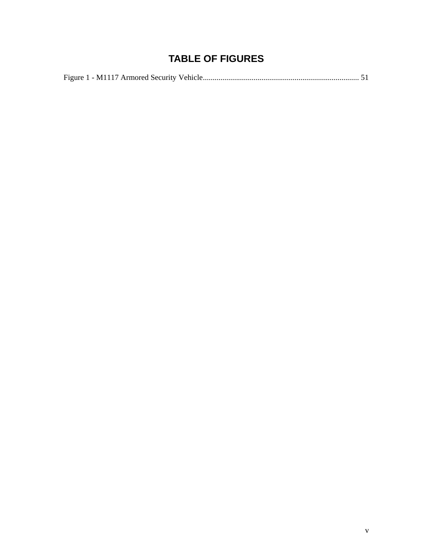# **TABLE OF FIGURES**

<span id="page-5-0"></span>

|--|--|--|--|--|--|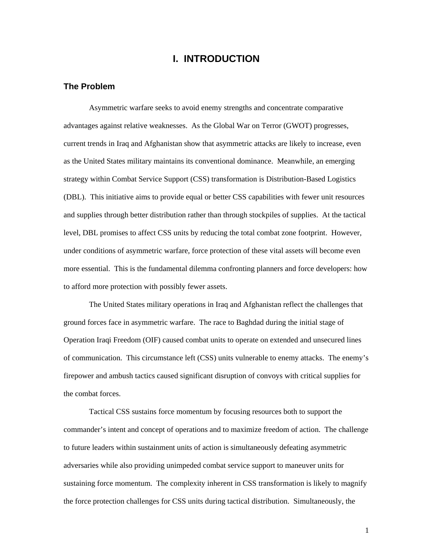# **I. INTRODUCTION**

#### <span id="page-6-0"></span>**The Problem**

Asymmetric warfare seeks to avoid enemy strengths and concentrate comparative advantages against relative weaknesses. As the Global War on Terror (GWOT) progresses, current trends in Iraq and Afghanistan show that asymmetric attacks are likely to increase, even as the United States military maintains its conventional dominance. Meanwhile, an emerging strategy within Combat Service Support (CSS) transformation is Distribution-Based Logistics (DBL). This initiative aims to provide equal or better CSS capabilities with fewer unit resources and supplies through better distribution rather than through stockpiles of supplies. At the tactical level, DBL promises to affect CSS units by reducing the total combat zone footprint. However, under conditions of asymmetric warfare, force protection of these vital assets will become even more essential. This is the fundamental dilemma confronting planners and force developers: how to afford more protection with possibly fewer assets.

The United States military operations in Iraq and Afghanistan reflect the challenges that ground forces face in asymmetric warfare. The race to Baghdad during the initial stage of Operation Iraqi Freedom (OIF) caused combat units to operate on extended and unsecured lines of communication. This circumstance left (CSS) units vulnerable to enemy attacks. The enemy's firepower and ambush tactics caused significant disruption of convoys with critical supplies for the combat forces.

Tactical CSS sustains force momentum by focusing resources both to support the commander's intent and concept of operations and to maximize freedom of action. The challenge to future leaders within sustainment units of action is simultaneously defeating asymmetric adversaries while also providing unimpeded combat service support to maneuver units for sustaining force momentum. The complexity inherent in CSS transformation is likely to magnify the force protection challenges for CSS units during tactical distribution. Simultaneously, the

1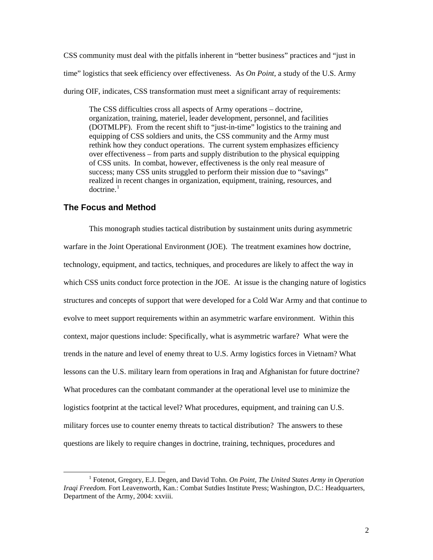<span id="page-7-0"></span>CSS community must deal with the pitfalls inherent in "better business" practices and "just in time" logistics that seek efficiency over effectiveness. As *On Point,* a study of the U.S. Army during OIF, indicates, CSS transformation must meet a significant array of requirements:

The CSS difficulties cross all aspects of Army operations – doctrine, organization, training, materiel, leader development, personnel, and facilities (DOTMLPF). From the recent shift to "just-in-time" logistics to the training and equipping of CSS soldiers and units, the CSS community and the Army must rethink how they conduct operations. The current system emphasizes efficiency over effectiveness – from parts and supply distribution to the physical equipping of CSS units. In combat, however, effectiveness is the only real measure of success; many CSS units struggled to perform their mission due to "savings" realized in recent changes in organization, equipment, training, resources, and doctrine $^{-1}$  $^{-1}$  $^{-1}$ 

## **The Focus and Method**

This monograph studies tactical distribution by sustainment units during asymmetric warfare in the Joint Operational Environment (JOE). The treatment examines how doctrine, technology, equipment, and tactics, techniques, and procedures are likely to affect the way in which CSS units conduct force protection in the JOE. At issue is the changing nature of logistics structures and concepts of support that were developed for a Cold War Army and that continue to evolve to meet support requirements within an asymmetric warfare environment. Within this context, major questions include: Specifically, what is asymmetric warfare? What were the trends in the nature and level of enemy threat to U.S. Army logistics forces in Vietnam? What lessons can the U.S. military learn from operations in Iraq and Afghanistan for future doctrine? What procedures can the combatant commander at the operational level use to minimize the logistics footprint at the tactical level? What procedures, equipment, and training can U.S. military forces use to counter enemy threats to tactical distribution? The answers to these questions are likely to require changes in doctrine, training, techniques, procedures and

<span id="page-7-1"></span> $\begin{array}{c|c}\n\hline\n\end{array}$  Fotenot, Gregory, E.J. Degen, and David Tohn. *On Point, The United States Army in Operation Iraqi Freedom.* Fort Leavenworth, Kan.: Combat Sutdies Institute Press; Washington, D.C.: Headquarters, Department of the Army, 2004: xxviii.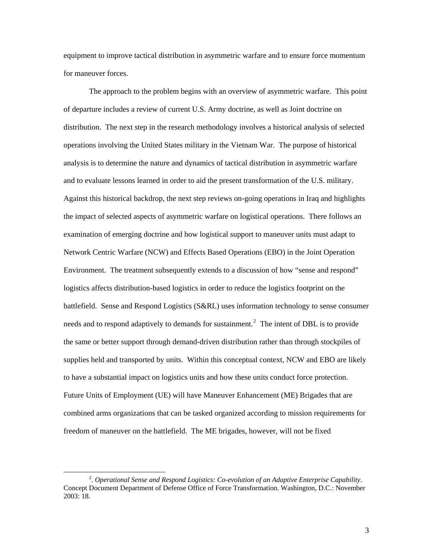equipment to improve tactical distribution in asymmetric warfare and to ensure force momentum for maneuver forces.

The approach to the problem begins with an overview of asymmetric warfare. This point of departure includes a review of current U.S. Army doctrine, as well as Joint doctrine on distribution. The next step in the research methodology involves a historical analysis of selected operations involving the United States military in the Vietnam War. The purpose of historical analysis is to determine the nature and dynamics of tactical distribution in asymmetric warfare and to evaluate lessons learned in order to aid the present transformation of the U.S. military. Against this historical backdrop, the next step reviews on-going operations in Iraq and highlights the impact of selected aspects of asymmetric warfare on logistical operations. There follows an examination of emerging doctrine and how logistical support to maneuver units must adapt to Network Centric Warfare (NCW) and Effects Based Operations (EBO) in the Joint Operation Environment. The treatment subsequently extends to a discussion of how "sense and respond" logistics affects distribution-based logistics in order to reduce the logistics footprint on the battlefield. Sense and Respond Logistics (S&RL) uses information technology to sense consumer needs and to respond adaptively to demands for sustainment.<sup>[2](#page-8-0)</sup> The intent of DBL is to provide the same or better support through demand-driven distribution rather than through stockpiles of supplies held and transported by units. Within this conceptual context, NCW and EBO are likely to have a substantial impact on logistics units and how these units conduct force protection. Future Units of Employment (UE) will have Maneuver Enhancement (ME) Brigades that are combined arms organizations that can be tasked organized according to mission requirements for freedom of maneuver on the battlefield. The ME brigades, however, will not be fixed

<span id="page-8-0"></span> $\frac{1}{2}$ . *Operational Sense and Respond Logistics: Co-evolution of an Adaptive Enterprise Capability*. Concept Document Department of Defense Office of Force Transformation. Washington, D.C.: November 2003: 18.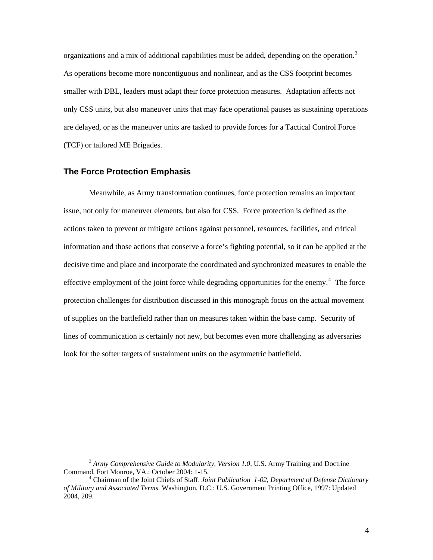<span id="page-9-0"></span>organizations and a mix of additional capabilities must be added, depending on the operation.<sup>[3](#page-9-1)</sup> As operations become more noncontiguous and nonlinear, and as the CSS footprint becomes smaller with DBL, leaders must adapt their force protection measures. Adaptation affects not only CSS units, but also maneuver units that may face operational pauses as sustaining operations are delayed, or as the maneuver units are tasked to provide forces for a Tactical Control Force (TCF) or tailored ME Brigades.

### **The Force Protection Emphasis**

Meanwhile, as Army transformation continues, force protection remains an important issue, not only for maneuver elements, but also for CSS. Force protection is defined as the actions taken to prevent or mitigate actions against personnel, resources, facilities, and critical information and those actions that conserve a force's fighting potential, so it can be applied at the decisive time and place and incorporate the coordinated and synchronized measures to enable the effective employment of the joint force while degrading opportunities for the enemy. $4$  The force protection challenges for distribution discussed in this monograph focus on the actual movement of supplies on the battlefield rather than on measures taken within the base camp. Security of lines of communication is certainly not new, but becomes even more challenging as adversaries look for the softer targets of sustainment units on the asymmetric battlefield.

<span id="page-9-1"></span><sup>&</sup>lt;sup>3</sup> Army Comprehensive Guide to Modularity, Version 1.0, U.S. Army Training and Doctrine Command. Fort Monroe, VA.: October 2004: 1-15.

<span id="page-9-2"></span>Chairman of the Joint Chiefs of Staff. *Joint Publication 1-02, Department of Defense Dictionary of Military and Associated Terms.* Washington, D.C.: U.S. Government Printing Office, 1997: Updated 2004, 209.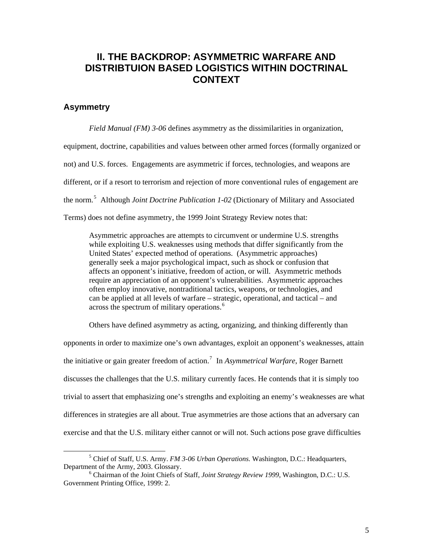# <span id="page-10-0"></span>**II. THE BACKDROP: ASYMMETRIC WARFARE AND DISTRIBTUION BASED LOGISTICS WITHIN DOCTRINAL CONTEXT**

## **Asymmetry**

*Field Manual (FM) 3-06* defines asymmetry as the dissimilarities in organization, equipment, doctrine, capabilities and values between other armed forces (formally organized or not) and U.S. forces. Engagements are asymmetric if forces, technologies, and weapons are different, or if a resort to terrorism and rejection of more conventional rules of engagement are the norm.<sup>[5](#page-10-1)</sup> Although *Joint Doctrine Publication 1-02* (Dictionary of Military and Associated Terms) does not define asymmetry, the 1999 Joint Strategy Review notes that:

Asymmetric approaches are attempts to circumvent or undermine U.S. strengths while exploiting U.S. weaknesses using methods that differ significantly from the United States' expected method of operations. (Asymmetric approaches) generally seek a major psychological impact, such as shock or confusion that affects an opponent's initiative, freedom of action, or will. Asymmetric methods require an appreciation of an opponent's vulnerabilities. Asymmetric approaches often employ innovative, nontraditional tactics, weapons, or technologies, and can be applied at all levels of warfare – strategic, operational, and tactical – and across the spectrum of military operations.<sup>[6](#page-10-2)</sup>

Others have defined asymmetry as acting, organizing, and thinking differently than

opponents in order to maximize one's own advantages, exploit an opponent's weaknesses, attain the initiative or gain greater freedom of action.<sup>[7](#page-10-3)</sup> In *Asymmetrical Warfare*, Roger Barnett discusses the challenges that the U.S. military currently faces. He contends that it is simply too trivial to assert that emphasizing one's strengths and exploiting an enemy's weaknesses are what differences in strategies are all about. True asymmetries are those actions that an adversary can exercise and that the U.S. military either cannot or will not. Such actions pose grave difficulties

<span id="page-10-3"></span><span id="page-10-1"></span> $\frac{1}{5}$  Chief of Staff, U.S. Army. *FM 3-06 Urban Operations.* Washington, D.C.: Headquarters, Department of the Army, 2003. Glossary.

<span id="page-10-2"></span>Chairman of the Joint Chiefs of Staff, *Joint Strategy Review 1999*, Washington, D.C.: U.S. Government Printing Office, 1999: 2.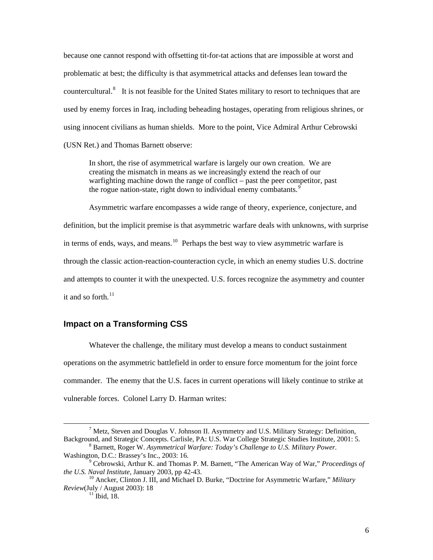<span id="page-11-0"></span>because one cannot respond with offsetting tit-for-tat actions that are impossible at worst and problematic at best; the difficulty is that asymmetrical attacks and defenses lean toward the countercultural.<sup>[8](#page-11-1)</sup> It is not feasible for the United States military to resort to techniques that are used by enemy forces in Iraq, including beheading hostages, operating from religious shrines, or using innocent civilians as human shields. More to the point, Vice Admiral Arthur Cebrowski (USN Ret.) and Thomas Barnett observe:

In short, the rise of asymmetrical warfare is largely our own creation. We are creating the mismatch in means as we increasingly extend the reach of our warfighting machine down the range of conflict – past the peer competitor, past the rogue nation-state, right down to individual enemy combatants.<sup>[9](#page-11-2)</sup>

Asymmetric warfare encompasses a wide range of theory, experience, conjecture, and definition, but the implicit premise is that asymmetric warfare deals with unknowns, with surprise in terms of ends, ways, and means.<sup>[10](#page-11-3)</sup> Perhaps the best way to view asymmetric warfare is through the classic action-reaction-counteraction cycle, in which an enemy studies U.S. doctrine and attempts to counter it with the unexpected. U.S. forces recognize the asymmetry and counter it and so forth. $^{11}$  $^{11}$  $^{11}$ 

## **Impact on a Transforming CSS**

Whatever the challenge, the military must develop a means to conduct sustainment operations on the asymmetric battlefield in order to ensure force momentum for the joint force commander. The enemy that the U.S. faces in current operations will likely continue to strike at vulnerable forces. Colonel Larry D. Harman writes:

 $\overline{\qquad \qquad }$  $^7$  Metz, Steven and Douglas V. Johnson II. Asymmetry and U.S. Military Strategy: Definition, Background, and Strategic Concepts. Carlisle, PA: U.S. War College Strategic Studies Institute, 2001: 5.

<span id="page-11-1"></span>Barnett, Roger W. *Asymmetrical Warfare: Today's Challenge to U.S. Military Power.* Washington, D.C.: Brassey's Inc., 2003: 16.

<span id="page-11-2"></span><sup>&</sup>lt;sup>9</sup> Cebrowski, Arthur K. and Thomas P. M. Barnett, "The American Way of War," *Proceedings of the U.S. Naval Institute*, January 2003, pp 42-43.

<span id="page-11-4"></span><span id="page-11-3"></span><sup>&</sup>lt;sup>10</sup> Ancker, Clinton J. III, and Michael D. Burke, "Doctrine for Asymmetric Warfare," *Military Review*(July / August 2003): 18<br><sup>11</sup> Ibid, 18.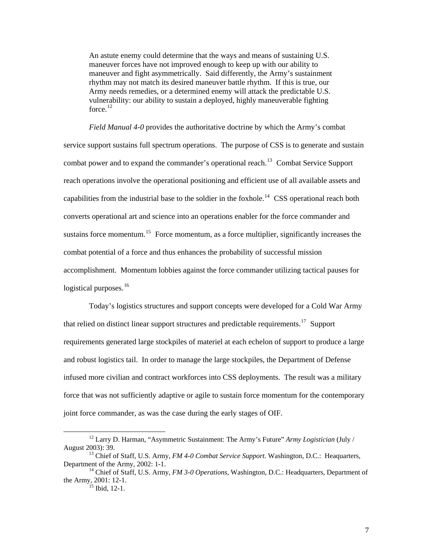An astute enemy could determine that the ways and means of sustaining U.S. maneuver forces have not improved enough to keep up with our ability to maneuver and fight asymmetrically. Said differently, the Army's sustainment rhythm may not match its desired maneuver battle rhythm. If this is true, our Army needs remedies, or a determined enemy will attack the predictable U.S. vulnerability: our ability to sustain a deployed, highly maneuverable fighting force. $12$ 

*Field Manual 4-0* provides the authoritative doctrine by which the Army's combat service support sustains full spectrum operations. The purpose of CSS is to generate and sustain combat power and to expand the commander's operational reach.<sup>[13](#page-12-1)</sup> Combat Service Support reach operations involve the operational positioning and efficient use of all available assets and capabilities from the industrial base to the soldier in the foxhole.<sup>[14](#page-12-2)</sup> CSS operational reach both converts operational art and science into an operations enabler for the force commander and sustains force momentum.<sup>[15](#page-12-3)</sup> Force momentum, as a force multiplier, significantly increases the combat potential of a force and thus enhances the probability of successful mission accomplishment. Momentum lobbies against the force commander utilizing tactical pauses for logistical purposes.<sup>[16](#page-12-4)</sup>

Today's logistics structures and support concepts were developed for a Cold War Army that relied on distinct linear support structures and predictable requirements.<sup>[17](#page-12-5)</sup> Support requirements generated large stockpiles of materiel at each echelon of support to produce a large and robust logistics tail. In order to manage the large stockpiles, the Department of Defense infused more civilian and contract workforces into CSS deployments. The result was a military force that was not sufficiently adaptive or agile to sustain force momentum for the contemporary joint force commander, as was the case during the early stages of OIF.

<span id="page-12-5"></span><span id="page-12-4"></span><span id="page-12-0"></span><sup>&</sup>lt;sup>12</sup> Larry D. Harman, "Asymmetric Sustainment: The Army's Future" *Army Logistician* (July / August 2003): 39.

<span id="page-12-1"></span><sup>&</sup>lt;sup>13</sup> Chief of Staff, U.S. Army, *FM 4-0 Combat Service Support*. Washington, D.C.: Heaquarters, Department of the Army, 2002: 1-1.<br><sup>14</sup> Chief of Staff, U.S. Army, *FM 3-0 Operations*, Washington, D.C.: Headquarters, Department of

<span id="page-12-3"></span><span id="page-12-2"></span>the Army, 2001: 12-1.<br><sup>15</sup> Ibid, 12-1.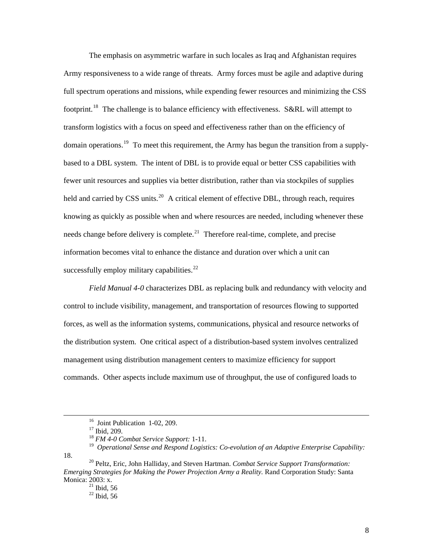The emphasis on asymmetric warfare in such locales as Iraq and Afghanistan requires Army responsiveness to a wide range of threats. Army forces must be agile and adaptive during full spectrum operations and missions, while expending fewer resources and minimizing the CSS footprint.<sup>[18](#page-13-0)</sup> The challenge is to balance efficiency with effectiveness. S&RL will attempt to transform logistics with a focus on speed and effectiveness rather than on the efficiency of domain operations.<sup>[19](#page-13-1)</sup> To meet this requirement, the Army has begun the transition from a supplybased to a DBL system. The intent of DBL is to provide equal or better CSS capabilities with fewer unit resources and supplies via better distribution, rather than via stockpiles of supplies held and carried by CSS units.<sup>[20](#page-13-2)</sup> A critical element of effective DBL, through reach, requires knowing as quickly as possible when and where resources are needed, including whenever these needs change before delivery is complete.<sup>[21](#page-13-3)</sup> Therefore real-time, complete, and precise information becomes vital to enhance the distance and duration over which a unit can successfully employ military capabilities. $^{22}$  $^{22}$  $^{22}$ 

*Field Manual 4-0* characterizes DBL as replacing bulk and redundancy with velocity and control to include visibility, management, and transportation of resources flowing to supported forces, as well as the information systems, communications, physical and resource networks of the distribution system. One critical aspect of a distribution-based system involves centralized management using distribution management centers to maximize efficiency for support commands. Other aspects include maximum use of throughput, the use of configured loads to

<sup>&</sup>lt;sup>16</sup> Joint Publication 1-02, 209.

<sup>&</sup>lt;sup>17</sup> Ibid, 209.

<sup>18</sup> *FM 4-0 Combat Service Support:* 1-11.

<span id="page-13-1"></span><span id="page-13-0"></span><sup>19</sup> *Operational Sense and Respond Logistics: Co-evolution of an Adaptive Enterprise Capability:* 18. 20 Peltz, Eric, John Halliday, and Steven Hartman. *Combat Service Support Transformation:* 

<span id="page-13-4"></span><span id="page-13-3"></span><span id="page-13-2"></span>*Emerging Strategies for Making the Power Projection Army a Reality.* Rand Corporation Study: Santa Monica: 2003: x.

 $21$  Ibid, 56

 $^{22}$  Ibid, 56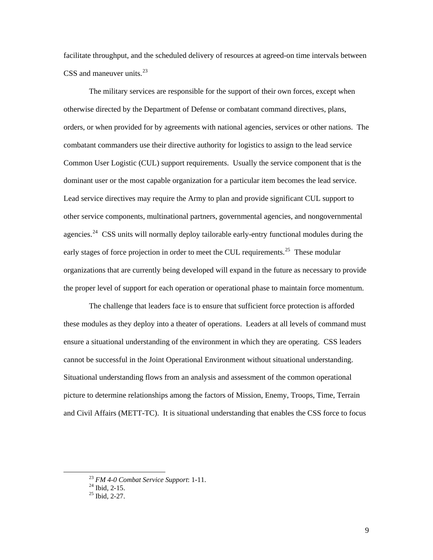facilitate throughput, and the scheduled delivery of resources at agreed-on time intervals between CSS and maneuver units. $^{23}$  $^{23}$  $^{23}$ 

The military services are responsible for the support of their own forces, except when otherwise directed by the Department of Defense or combatant command directives, plans, orders, or when provided for by agreements with national agencies, services or other nations. The combatant commanders use their directive authority for logistics to assign to the lead service Common User Logistic (CUL) support requirements. Usually the service component that is the dominant user or the most capable organization for a particular item becomes the lead service. Lead service directives may require the Army to plan and provide significant CUL support to other service components, multinational partners, governmental agencies, and nongovernmental agencies.<sup>[24](#page-14-1)</sup> CSS units will normally deploy tailorable early-entry functional modules during the early stages of force projection in order to meet the CUL requirements.<sup>[25](#page-14-2)</sup> These modular organizations that are currently being developed will expand in the future as necessary to provide the proper level of support for each operation or operational phase to maintain force momentum.

The challenge that leaders face is to ensure that sufficient force protection is afforded these modules as they deploy into a theater of operations. Leaders at all levels of command must ensure a situational understanding of the environment in which they are operating. CSS leaders cannot be successful in the Joint Operational Environment without situational understanding. Situational understanding flows from an analysis and assessment of the common operational picture to determine relationships among the factors of Mission, Enemy, Troops, Time, Terrain and Civil Affairs (METT-TC). It is situational understanding that enables the CSS force to focus

<span id="page-14-1"></span><span id="page-14-0"></span><sup>23</sup> *FM 4-0 Combat Service Support*: 1-11. 24 Ibid, 2-15.

<span id="page-14-2"></span>

 $^{25}$  Ibid, 2-27.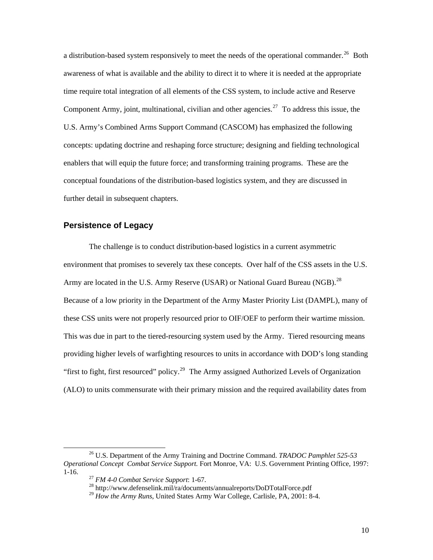<span id="page-15-0"></span>a distribution-based system responsively to meet the needs of the operational commander.<sup>26</sup> Both awareness of what is available and the ability to direct it to where it is needed at the appropriate time require total integration of all elements of the CSS system, to include active and Reserve Component Army, joint, multinational, civilian and other agencies.<sup>[27](#page-15-2)</sup> To address this issue, the U.S. Army's Combined Arms Support Command (CASCOM) has emphasized the following concepts: updating doctrine and reshaping force structure; designing and fielding technological enablers that will equip the future force; and transforming training programs. These are the conceptual foundations of the distribution-based logistics system, and they are discussed in further detail in subsequent chapters.

### **Persistence of Legacy**

The challenge is to conduct distribution-based logistics in a current asymmetric environment that promises to severely tax these concepts. Over half of the CSS assets in the U.S. Army are located in the U.S. Army Reserve (USAR) or National Guard Bureau (NGB).<sup>[28](#page-15-3)</sup> Because of a low priority in the Department of the Army Master Priority List (DAMPL), many of these CSS units were not properly resourced prior to OIF/OEF to perform their wartime mission. This was due in part to the tiered-resourcing system used by the Army. Tiered resourcing means providing higher levels of warfighting resources to units in accordance with DOD's long standing "first to fight, first resourced" policy.<sup>[29](#page-15-4)</sup> The Army assigned Authorized Levels of Organization (ALO) to units commensurate with their primary mission and the required availability dates from

<span id="page-15-4"></span><span id="page-15-3"></span><span id="page-15-2"></span><span id="page-15-1"></span> <sup>26</sup> U.S. Department of the Army Training and Doctrine Command. *TRADOC Pamphlet 525-53 Operational Concept Combat Service Support.* Fort Monroe, VA: U.S. Government Printing Office, 1997: 1-16. 27 *FM 4-0 Combat Service Support*: 1-67. 28 http://www.defenselink.mil/ra/documents/annualreports/DoDTotalForce.pdf

<sup>&</sup>lt;sup>29</sup> How the Army Runs, United States Army War College, Carlisle, PA, 2001: 8-4.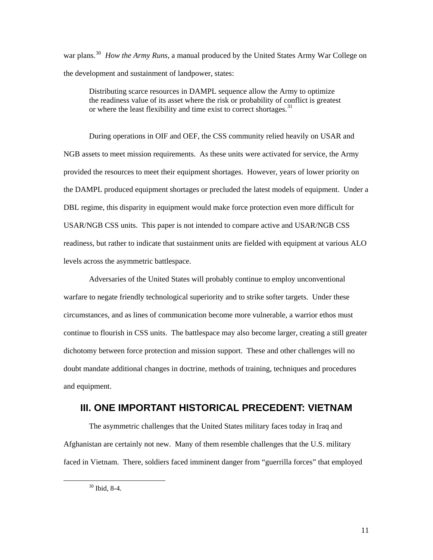<span id="page-16-0"></span>war plans.<sup>[30](#page-16-1)</sup> *How the Army Runs,* a manual produced by the United States Army War College on the development and sustainment of landpower, states:

Distributing scarce resources in DAMPL sequence allow the Army to optimize the readiness value of its asset where the risk or probability of conflict is greatest or where the least flexibility and time exist to correct shortages.<sup>[31](#page-16-2)</sup>

During operations in OIF and OEF, the CSS community relied heavily on USAR and NGB assets to meet mission requirements. As these units were activated for service, the Army provided the resources to meet their equipment shortages. However, years of lower priority on the DAMPL produced equipment shortages or precluded the latest models of equipment. Under a DBL regime, this disparity in equipment would make force protection even more difficult for USAR/NGB CSS units. This paper is not intended to compare active and USAR/NGB CSS readiness, but rather to indicate that sustainment units are fielded with equipment at various ALO levels across the asymmetric battlespace.

Adversaries of the United States will probably continue to employ unconventional warfare to negate friendly technological superiority and to strike softer targets. Under these circumstances, and as lines of communication become more vulnerable, a warrior ethos must continue to flourish in CSS units. The battlespace may also become larger, creating a still greater dichotomy between force protection and mission support. These and other challenges will no doubt mandate additional changes in doctrine, methods of training, techniques and procedures and equipment.

# **III. ONE IMPORTANT HISTORICAL PRECEDENT: VIETNAM**

<span id="page-16-2"></span>The asymmetric challenges that the United States military faces today in Iraq and Afghanistan are certainly not new. Many of them resemble challenges that the U.S. military faced in Vietnam. There, soldiers faced imminent danger from "guerrilla forces" that employed

<span id="page-16-1"></span> <sup>30</sup> Ibid, 8-4.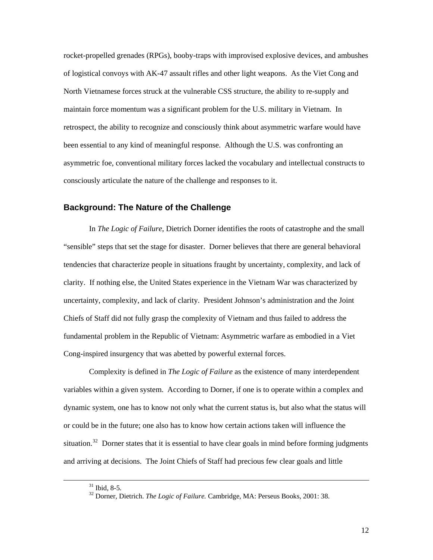<span id="page-17-0"></span>rocket-propelled grenades (RPGs), booby-traps with improvised explosive devices, and ambushes of logistical convoys with AK-47 assault rifles and other light weapons. As the Viet Cong and North Vietnamese forces struck at the vulnerable CSS structure, the ability to re-supply and maintain force momentum was a significant problem for the U.S. military in Vietnam. In retrospect, the ability to recognize and consciously think about asymmetric warfare would have been essential to any kind of meaningful response. Although the U.S. was confronting an asymmetric foe, conventional military forces lacked the vocabulary and intellectual constructs to consciously articulate the nature of the challenge and responses to it.

#### **Background: The Nature of the Challenge**

In *The Logic of Failure*, Dietrich Dorner identifies the roots of catastrophe and the small "sensible" steps that set the stage for disaster. Dorner believes that there are general behavioral tendencies that characterize people in situations fraught by uncertainty, complexity, and lack of clarity. If nothing else, the United States experience in the Vietnam War was characterized by uncertainty, complexity, and lack of clarity. President Johnson's administration and the Joint Chiefs of Staff did not fully grasp the complexity of Vietnam and thus failed to address the fundamental problem in the Republic of Vietnam: Asymmetric warfare as embodied in a Viet Cong-inspired insurgency that was abetted by powerful external forces.

Complexity is defined in *The Logic of Failure* as the existence of many interdependent variables within a given system. According to Dorner, if one is to operate within a complex and dynamic system, one has to know not only what the current status is, but also what the status will or could be in the future; one also has to know how certain actions taken will influence the situation.<sup>[32](#page-17-1)</sup> Dorner states that it is essential to have clear goals in mind before forming judgments and arriving at decisions. The Joint Chiefs of Staff had precious few clear goals and little

 $31$  Ibid, 8-5.

<span id="page-17-1"></span><sup>32</sup> Dorner, Dietrich. *The Logic of Failure.* Cambridge, MA: Perseus Books, 2001: 38.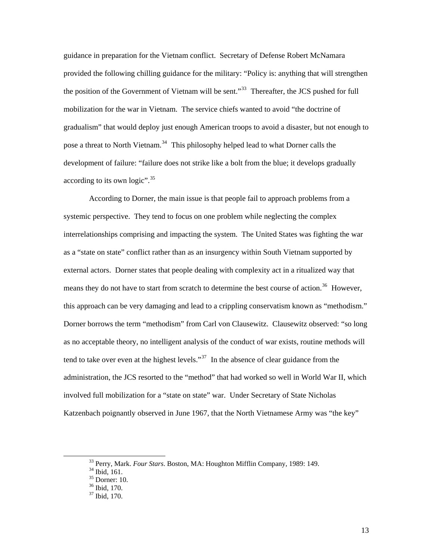guidance in preparation for the Vietnam conflict. Secretary of Defense Robert McNamara provided the following chilling guidance for the military: "Policy is: anything that will strengthen the position of the Government of Vietnam will be sent."<sup>[33](#page-18-0)</sup> Thereafter, the JCS pushed for full mobilization for the war in Vietnam. The service chiefs wanted to avoid "the doctrine of gradualism" that would deploy just enough American troops to avoid a disaster, but not enough to pose a threat to North Vietnam.<sup>[34](#page-18-1)</sup> This philosophy helped lead to what Dorner calls the development of failure: "failure does not strike like a bolt from the blue; it develops gradually according to its own logic". $35$ 

According to Dorner, the main issue is that people fail to approach problems from a systemic perspective. They tend to focus on one problem while neglecting the complex interrelationships comprising and impacting the system. The United States was fighting the war as a "state on state" conflict rather than as an insurgency within South Vietnam supported by external actors. Dorner states that people dealing with complexity act in a ritualized way that means they do not have to start from scratch to determine the best course of action.<sup>[36](#page-18-3)</sup> However, this approach can be very damaging and lead to a crippling conservatism known as "methodism." Dorner borrows the term "methodism" from Carl von Clausewitz. Clausewitz observed: "so long as no acceptable theory, no intelligent analysis of the conduct of war exists, routine methods will tend to take over even at the highest levels."<sup>[37](#page-18-4)</sup> In the absence of clear guidance from the administration, the JCS resorted to the "method" that had worked so well in World War II, which involved full mobilization for a "state on state" war. Under Secretary of State Nicholas Katzenbach poignantly observed in June 1967, that the North Vietnamese Army was "the key"

<sup>&</sup>lt;sup>33</sup> Perry, Mark. *Four Stars*. Boston, MA: Houghton Mifflin Company, 1989: 149.<br><sup>34</sup> Ibid, 161.

<span id="page-18-1"></span><span id="page-18-0"></span>

 $35$  Dorner: 10.

<span id="page-18-4"></span><span id="page-18-3"></span><span id="page-18-2"></span><sup>36</sup> Ibid, 170.

<sup>37</sup> Ibid, 170.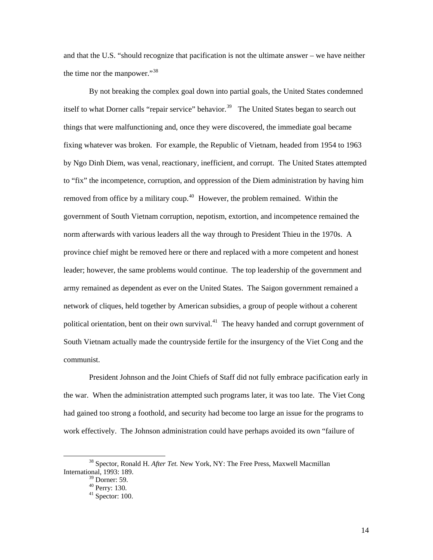and that the U.S. "should recognize that pacification is not the ultimate answer – we have neither the time nor the manpower."<sup>[38](#page-19-0)</sup>

By not breaking the complex goal down into partial goals, the United States condemned itself to what Dorner calls "repair service" behavior.<sup>[39](#page-19-1)</sup> The United States began to search out things that were malfunctioning and, once they were discovered, the immediate goal became fixing whatever was broken. For example, the Republic of Vietnam, headed from 1954 to 1963 by Ngo Dinh Diem, was venal, reactionary, inefficient, and corrupt. The United States attempted to "fix" the incompetence, corruption, and oppression of the Diem administration by having him removed from office by a military coup.<sup>[40](#page-19-2)</sup> However, the problem remained. Within the government of South Vietnam corruption, nepotism, extortion, and incompetence remained the norm afterwards with various leaders all the way through to President Thieu in the 1970s. A province chief might be removed here or there and replaced with a more competent and honest leader; however, the same problems would continue. The top leadership of the government and army remained as dependent as ever on the United States. The Saigon government remained a network of cliques, held together by American subsidies, a group of people without a coherent political orientation, bent on their own survival.<sup>[41](#page-19-3)</sup> The heavy handed and corrupt government of South Vietnam actually made the countryside fertile for the insurgency of the Viet Cong and the communist.

President Johnson and the Joint Chiefs of Staff did not fully embrace pacification early in the war. When the administration attempted such programs later, it was too late. The Viet Cong had gained too strong a foothold, and security had become too large an issue for the programs to work effectively. The Johnson administration could have perhaps avoided its own "failure of

<span id="page-19-3"></span><span id="page-19-2"></span><span id="page-19-1"></span><span id="page-19-0"></span> <sup>38</sup> Spector, Ronald H. *After Tet.* New York, NY: The Free Press, Maxwell Macmillan International, 1993: 189.

 $39$  Dorner: 59.

<sup>40</sup> Perry: 130.

 $41$  Spector: 100.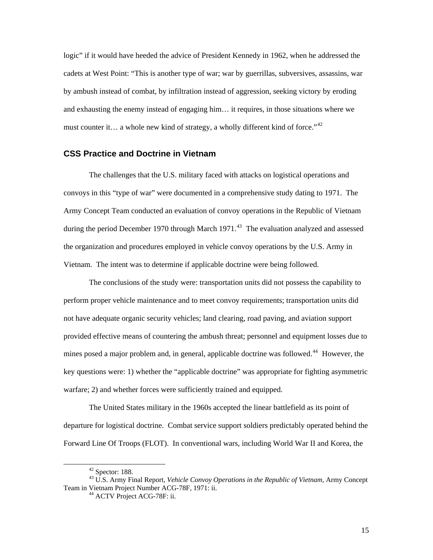<span id="page-20-0"></span>logic" if it would have heeded the advice of President Kennedy in 1962, when he addressed the cadets at West Point: "This is another type of war; war by guerrillas, subversives, assassins, war by ambush instead of combat, by infiltration instead of aggression, seeking victory by eroding and exhausting the enemy instead of engaging him… it requires, in those situations where we must counter it… a whole new kind of strategy, a wholly different kind of force."<sup>[42](#page-20-1)</sup>

## **CSS Practice and Doctrine in Vietnam**

The challenges that the U.S. military faced with attacks on logistical operations and convoys in this "type of war" were documented in a comprehensive study dating to 1971. The Army Concept Team conducted an evaluation of convoy operations in the Republic of Vietnam during the period December 1970 through March 1971.<sup>[43](#page-20-2)</sup> The evaluation analyzed and assessed the organization and procedures employed in vehicle convoy operations by the U.S. Army in Vietnam. The intent was to determine if applicable doctrine were being followed.

The conclusions of the study were: transportation units did not possess the capability to perform proper vehicle maintenance and to meet convoy requirements; transportation units did not have adequate organic security vehicles; land clearing, road paving, and aviation support provided effective means of countering the ambush threat; personnel and equipment losses due to mines posed a major problem and, in general, applicable doctrine was followed.<sup>[44](#page-20-3)</sup> However, the key questions were: 1) whether the "applicable doctrine" was appropriate for fighting asymmetric warfare; 2) and whether forces were sufficiently trained and equipped.

The United States military in the 1960s accepted the linear battlefield as its point of departure for logistical doctrine. Combat service support soldiers predictably operated behind the Forward Line Of Troops (FLOT). In conventional wars, including World War II and Korea, the

 $42$  Spector: 188.

<span id="page-20-3"></span><span id="page-20-2"></span><span id="page-20-1"></span><sup>43</sup> U.S. Army Final Report, *Vehicle Convoy Operations in the Republic of Vietnam*, Army Concept Team in Vietnam Project Number ACG-78F, 1971: ii.<br><sup>44</sup> ACTV Project ACG-78F: ii.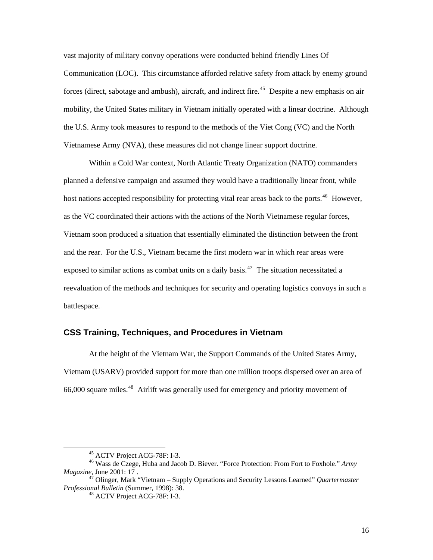<span id="page-21-0"></span>vast majority of military convoy operations were conducted behind friendly Lines Of Communication (LOC). This circumstance afforded relative safety from attack by enemy ground forces (direct, sabotage and ambush), aircraft, and indirect fire.<sup>[45](#page-21-1)</sup> Despite a new emphasis on air mobility, the United States military in Vietnam initially operated with a linear doctrine. Although the U.S. Army took measures to respond to the methods of the Viet Cong (VC) and the North Vietnamese Army (NVA), these measures did not change linear support doctrine.

Within a Cold War context, North Atlantic Treaty Organization (NATO) commanders planned a defensive campaign and assumed they would have a traditionally linear front, while host nations accepted responsibility for protecting vital rear areas back to the ports.<sup>[46](#page-21-2)</sup> However, as the VC coordinated their actions with the actions of the North Vietnamese regular forces, Vietnam soon produced a situation that essentially eliminated the distinction between the front and the rear. For the U.S., Vietnam became the first modern war in which rear areas were exposed to similar actions as combat units on a daily basis.<sup>[47](#page-21-3)</sup> The situation necessitated a reevaluation of the methods and techniques for security and operating logistics convoys in such a battlespace.

#### **CSS Training, Techniques, and Procedures in Vietnam**

At the height of the Vietnam War, the Support Commands of the United States Army, Vietnam (USARV) provided support for more than one million troops dispersed over an area of 66,000 square miles.[48](#page-21-4) Airlift was generally used for emergency and priority movement of

 <sup>45</sup> ACTV Project ACG-78F: I-3.

<span id="page-21-2"></span><span id="page-21-1"></span><sup>46</sup> Wass de Czege, Huba and Jacob D. Biever. "Force Protection: From Fort to Foxhole." *Army Magazine*, June 2001: 17 .

<span id="page-21-4"></span><span id="page-21-3"></span><sup>47</sup> Olinger, Mark "Vietnam – Supply Operations and Security Lessons Learned" *Quartermaster Professional Bulletin* (Summer, 1998): 38. 48 ACTV Project ACG-78F: I-3.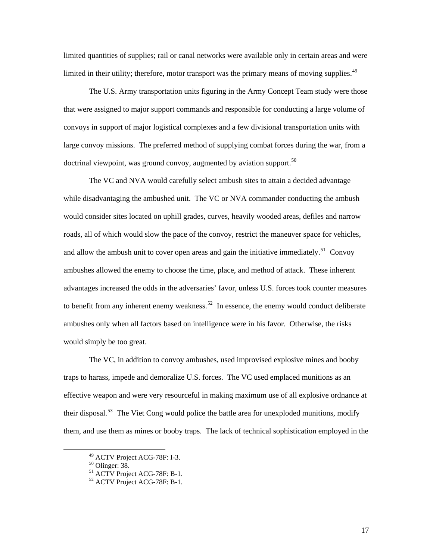limited quantities of supplies; rail or canal networks were available only in certain areas and were limited in their utility; therefore, motor transport was the primary means of moving supplies.<sup>49</sup>

The U.S. Army transportation units figuring in the Army Concept Team study were those that were assigned to major support commands and responsible for conducting a large volume of convoys in support of major logistical complexes and a few divisional transportation units with large convoy missions. The preferred method of supplying combat forces during the war, from a doctrinal viewpoint, was ground convoy, augmented by aviation support.<sup>[50](#page-22-1)</sup>

The VC and NVA would carefully select ambush sites to attain a decided advantage while disadvantaging the ambushed unit. The VC or NVA commander conducting the ambush would consider sites located on uphill grades, curves, heavily wooded areas, defiles and narrow roads, all of which would slow the pace of the convoy, restrict the maneuver space for vehicles, and allow the ambush unit to cover open areas and gain the initiative immediately.<sup>[51](#page-22-2)</sup> Convoy ambushes allowed the enemy to choose the time, place, and method of attack. These inherent advantages increased the odds in the adversaries' favor, unless U.S. forces took counter measures to benefit from any inherent enemy weakness.<sup>[52](#page-22-3)</sup> In essence, the enemy would conduct deliberate ambushes only when all factors based on intelligence were in his favor. Otherwise, the risks would simply be too great.

The VC, in addition to convoy ambushes, used improvised explosive mines and booby traps to harass, impede and demoralize U.S. forces. The VC used emplaced munitions as an effective weapon and were very resourceful in making maximum use of all explosive ordnance at their disposal.<sup>[53](#page-22-4)</sup> The Viet Cong would police the battle area for unexploded munitions, modify them, and use them as mines or booby traps. The lack of technical sophistication employed in the

<span id="page-22-0"></span> <sup>49</sup> ACTV Project ACG-78F: I-3.

<span id="page-22-4"></span><span id="page-22-2"></span><span id="page-22-1"></span><sup>50</sup> Olinger: 38.

<sup>51</sup> ACTV Project ACG-78F: B-1.

<span id="page-22-3"></span><sup>52</sup> ACTV Project ACG-78F: B-1.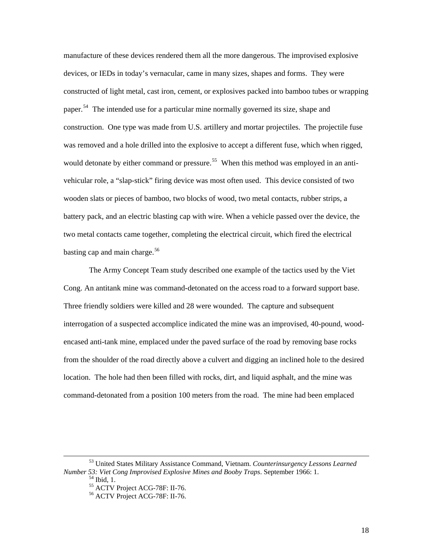manufacture of these devices rendered them all the more dangerous. The improvised explosive devices, or IEDs in today's vernacular, came in many sizes, shapes and forms. They were constructed of light metal, cast iron, cement, or explosives packed into bamboo tubes or wrapping paper.<sup>[54](#page-23-0)</sup> The intended use for a particular mine normally governed its size, shape and construction. One type was made from U.S. artillery and mortar projectiles. The projectile fuse was removed and a hole drilled into the explosive to accept a different fuse, which when rigged, would detonate by either command or pressure.<sup>[55](#page-23-1)</sup> When this method was employed in an antivehicular role, a "slap-stick" firing device was most often used. This device consisted of two wooden slats or pieces of bamboo, two blocks of wood, two metal contacts, rubber strips, a battery pack, and an electric blasting cap with wire. When a vehicle passed over the device, the two metal contacts came together, completing the electrical circuit, which fired the electrical basting cap and main charge.<sup>[56](#page-23-2)</sup>

The Army Concept Team study described one example of the tactics used by the Viet Cong. An antitank mine was command-detonated on the access road to a forward support base. Three friendly soldiers were killed and 28 were wounded. The capture and subsequent interrogation of a suspected accomplice indicated the mine was an improvised, 40-pound, woodencased anti-tank mine, emplaced under the paved surface of the road by removing base rocks from the shoulder of the road directly above a culvert and digging an inclined hole to the desired location. The hole had then been filled with rocks, dirt, and liquid asphalt, and the mine was command-detonated from a position 100 meters from the road. The mine had been emplaced

<span id="page-23-2"></span><span id="page-23-1"></span><span id="page-23-0"></span> <sup>53</sup> United States Military Assistance Command, Vietnam. *Counterinsurgency Lessons Learned Number 53: Viet Cong Improvised Explosive Mines and Booby Traps*. September 1966: 1. 54 Ibid, 1.

<sup>55</sup> ACTV Project ACG-78F: II-76.

<sup>56</sup> ACTV Project ACG-78F: II-76.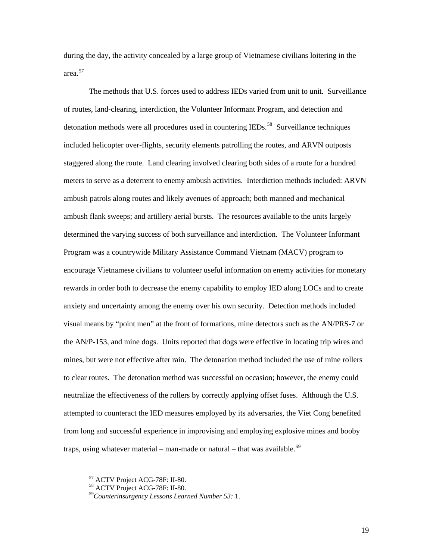during the day, the activity concealed by a large group of Vietnamese civilians loitering in the area.[57](#page-24-0)

The methods that U.S. forces used to address IEDs varied from unit to unit. Surveillance of routes, land-clearing, interdiction, the Volunteer Informant Program, and detection and detonation methods were all procedures used in countering IEDs.<sup>[58](#page-24-1)</sup> Surveillance techniques included helicopter over-flights, security elements patrolling the routes, and ARVN outposts staggered along the route. Land clearing involved clearing both sides of a route for a hundred meters to serve as a deterrent to enemy ambush activities. Interdiction methods included: ARVN ambush patrols along routes and likely avenues of approach; both manned and mechanical ambush flank sweeps; and artillery aerial bursts. The resources available to the units largely determined the varying success of both surveillance and interdiction. The Volunteer Informant Program was a countrywide Military Assistance Command Vietnam (MACV) program to encourage Vietnamese civilians to volunteer useful information on enemy activities for monetary rewards in order both to decrease the enemy capability to employ IED along LOCs and to create anxiety and uncertainty among the enemy over his own security. Detection methods included visual means by "point men" at the front of formations, mine detectors such as the AN/PRS-7 or the AN/P-153, and mine dogs. Units reported that dogs were effective in locating trip wires and mines, but were not effective after rain. The detonation method included the use of mine rollers to clear routes. The detonation method was successful on occasion; however, the enemy could neutralize the effectiveness of the rollers by correctly applying offset fuses. Although the U.S. attempted to counteract the IED measures employed by its adversaries, the Viet Cong benefited from long and successful experience in improvising and employing explosive mines and booby traps, using whatever material – man-made or natural – that was available.<sup>[59](#page-24-2)</sup>

<span id="page-24-1"></span><span id="page-24-0"></span> <sup>57</sup> ACTV Project ACG-78F: II-80.

<sup>58</sup> ACTV Project ACG-78F: II-80.

<span id="page-24-2"></span><sup>59</sup>*Counterinsurgency Lessons Learned Number 53:* 1.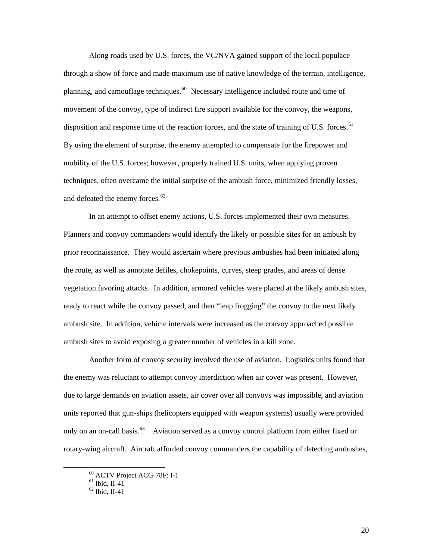Along roads used by U.S. forces, the VC/NVA gained support of the local populace through a show of force and made maximum use of native knowledge of the terrain, intelligence, planning, and camouflage techniques.<sup>[60](#page-25-0)</sup> Necessary intelligence included route and time of movement of the convoy, type of indirect fire support available for the convoy, the weapons, disposition and response time of the reaction forces, and the state of training of U.S. forces.<sup>[61](#page-25-1)</sup> By using the element of surprise, the enemy attempted to compensate for the firepower and mobility of the U.S. forces; however, properly trained U.S. units, when applying proven techniques, often overcame the initial surprise of the ambush force, minimized friendly losses, and defeated the enemy forces.<sup>[62](#page-25-2)</sup>

In an attempt to offset enemy actions, U.S. forces implemented their own measures. Planners and convoy commanders would identify the likely or possible sites for an ambush by prior reconnaissance. They would ascertain where previous ambushes had been initiated along the route, as well as annotate defiles, chokepoints, curves, steep grades, and areas of dense vegetation favoring attacks. In addition, armored vehicles were placed at the likely ambush sites, ready to react while the convoy passed, and then "leap frogging" the convoy to the next likely ambush site. In addition, vehicle intervals were increased as the convoy approached possible ambush sites to avoid exposing a greater number of vehicles in a kill zone.

Another form of convoy security involved the use of aviation. Logistics units found that the enemy was reluctant to attempt convoy interdiction when air cover was present. However, due to large demands on aviation assets, air cover over all convoys was impossible, and aviation units reported that gun-ships (helicopters equipped with weapon systems) usually were provided only on an on-call basis.<sup>[63](#page-25-3)</sup> Aviation served as a convoy control platform from either fixed or rotary-wing aircraft. Aircraft afforded convoy commanders the capability of detecting ambushes,

<span id="page-25-3"></span><span id="page-25-2"></span><span id="page-25-1"></span><span id="page-25-0"></span> <sup>60</sup> ACTV Project ACG-78F: I-1

 $<sup>61</sup>$  Ibid, II-41</sup>

<sup>62</sup> Ibid, II-41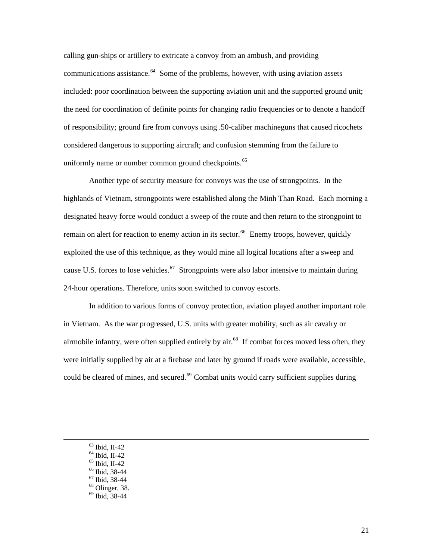calling gun-ships or artillery to extricate a convoy from an ambush, and providing communications assistance.  $64$  Some of the problems, however, with using aviation assets included: poor coordination between the supporting aviation unit and the supported ground unit; the need for coordination of definite points for changing radio frequencies or to denote a handoff of responsibility; ground fire from convoys using .50-caliber machineguns that caused ricochets considered dangerous to supporting aircraft; and confusion stemming from the failure to uniformly name or number common ground checkpoints.<sup>[65](#page-26-1)</sup>

Another type of security measure for convoys was the use of strongpoints. In the highlands of Vietnam, strongpoints were established along the Minh Than Road. Each morning a designated heavy force would conduct a sweep of the route and then return to the strongpoint to remain on alert for reaction to enemy action in its sector.<sup>[66](#page-26-2)</sup> Enemy troops, however, quickly exploited the use of this technique, as they would mine all logical locations after a sweep and cause U.S. forces to lose vehicles.<sup>[67](#page-26-3)</sup> Strongpoints were also labor intensive to maintain during 24-hour operations. Therefore, units soon switched to convoy escorts.

In addition to various forms of convoy protection, aviation played another important role in Vietnam. As the war progressed, U.S. units with greater mobility, such as air cavalry or airmobile infantry, were often supplied entirely by air.<sup>[68](#page-26-4)</sup> If combat forces moved less often, they were initially supplied by air at a firebase and later by ground if roads were available, accessible, could be cleared of mines, and secured.<sup>[69](#page-26-5)</sup> Combat units would carry sufficient supplies during

- 63 Ibid, II-42
- <span id="page-26-0"></span> $64$  Ibid, II-42
- <span id="page-26-2"></span><span id="page-26-1"></span> $65$  Ibid, II-42
- $66$  Ibid, 38-44
- <span id="page-26-4"></span><span id="page-26-3"></span> $67$  Ibid, 38-44
- $68$  Olinger, 38.
- <span id="page-26-5"></span> $69$  Ibid, 38-44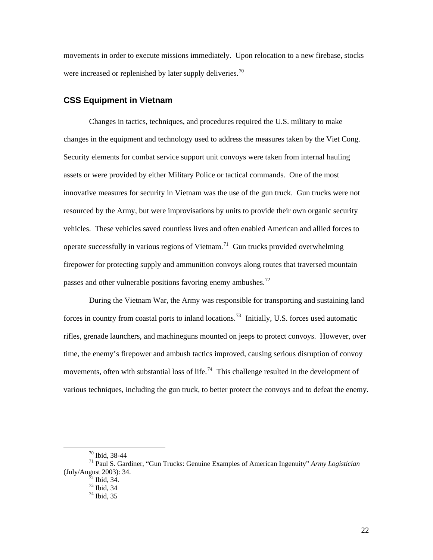<span id="page-27-0"></span>movements in order to execute missions immediately. Upon relocation to a new firebase, stocks were increased or replenished by later supply deliveries.<sup>[70](#page-27-1)</sup>

#### **CSS Equipment in Vietnam**

Changes in tactics, techniques, and procedures required the U.S. military to make changes in the equipment and technology used to address the measures taken by the Viet Cong. Security elements for combat service support unit convoys were taken from internal hauling assets or were provided by either Military Police or tactical commands. One of the most innovative measures for security in Vietnam was the use of the gun truck. Gun trucks were not resourced by the Army, but were improvisations by units to provide their own organic security vehicles. These vehicles saved countless lives and often enabled American and allied forces to operate successfully in various regions of Vietnam.<sup>[71](#page-27-2)</sup> Gun trucks provided overwhelming firepower for protecting supply and ammunition convoys along routes that traversed mountain passes and other vulnerable positions favoring enemy ambushes.<sup>[72](#page-27-3)</sup>

During the Vietnam War, the Army was responsible for transporting and sustaining land forces in country from coastal ports to inland locations.<sup>[73](#page-27-4)</sup> Initially, U.S. forces used automatic rifles, grenade launchers, and machineguns mounted on jeeps to protect convoys. However, over time, the enemy's firepower and ambush tactics improved, causing serious disruption of convoy movements, often with substantial loss of life.<sup>[74](#page-27-5)</sup> This challenge resulted in the development of various techniques, including the gun truck, to better protect the convoys and to defeat the enemy.

 <sup>70</sup> Ibid, 38-44

<span id="page-27-5"></span><span id="page-27-4"></span><span id="page-27-3"></span><span id="page-27-2"></span><span id="page-27-1"></span><sup>71</sup> Paul S. Gardiner, "Gun Trucks: Genuine Examples of American Ingenuity" *Army Logistician* (July/August 2003): 34. 72 Ibid, 34.

<sup>73</sup> Ibid, 34

 $74$  Ibid, 35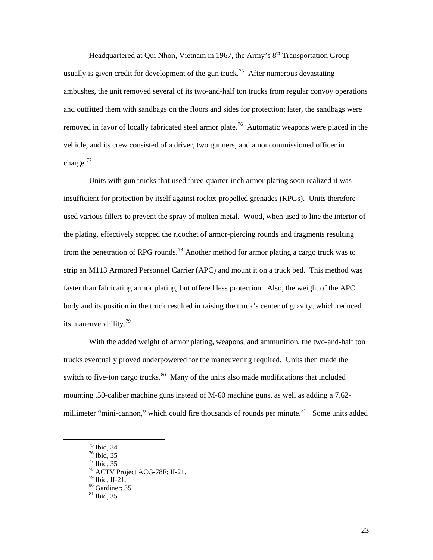Headquartered at Qui Nhon, Vietnam in 1967, the Army's  $8<sup>th</sup>$  Transportation Group usually is given credit for development of the gun truck.<sup>[75](#page-28-0)</sup> After numerous devastating ambushes, the unit removed several of its two-and-half ton trucks from regular convoy operations and outfitted them with sandbags on the floors and sides for protection; later, the sandbags were removed in favor of locally fabricated steel armor plate.<sup>76</sup> Automatic weapons were placed in the vehicle, and its crew consisted of a driver, two gunners, and a noncommissioned officer in charge. $^{77}$  $^{77}$  $^{77}$ 

Units with gun trucks that used three-quarter-inch armor plating soon realized it was insufficient for protection by itself against rocket-propelled grenades (RPGs). Units therefore used various fillers to prevent the spray of molten metal. Wood, when used to line the interior of the plating, effectively stopped the ricochet of armor-piercing rounds and fragments resulting from the penetration of RPG rounds.<sup>[78](#page-28-3)</sup> Another method for armor plating a cargo truck was to strip an M113 Armored Personnel Carrier (APC) and mount it on a truck bed. This method was faster than fabricating armor plating, but offered less protection. Also, the weight of the APC body and its position in the truck resulted in raising the truck's center of gravity, which reduced its maneuverability.<sup>[79](#page-28-4)</sup>

With the added weight of armor plating, weapons, and ammunition, the two-and-half ton trucks eventually proved underpowered for the maneuvering required. Units then made the switch to five-ton cargo trucks.<sup>[80](#page-28-5)</sup> Many of the units also made modifications that included mounting .50-caliber machine guns instead of M-60 machine guns, as well as adding a 7.62- millimeter "mini-cannon," which could fire thousands of rounds per minute.<sup>[81](#page-28-6)</sup> Some units added

 <sup>75</sup> Ibid, 34

<sup>76</sup> Ibid, 35

<span id="page-28-4"></span><span id="page-28-3"></span><span id="page-28-2"></span><span id="page-28-1"></span><span id="page-28-0"></span><sup>77</sup> Ibid, 35

<sup>78</sup> ACTV Project ACG-78F: II-21.

 $79$  Ibid, II-21.

 $80$  Gardiner: 35

<span id="page-28-6"></span><span id="page-28-5"></span><sup>81</sup> Ibid, 35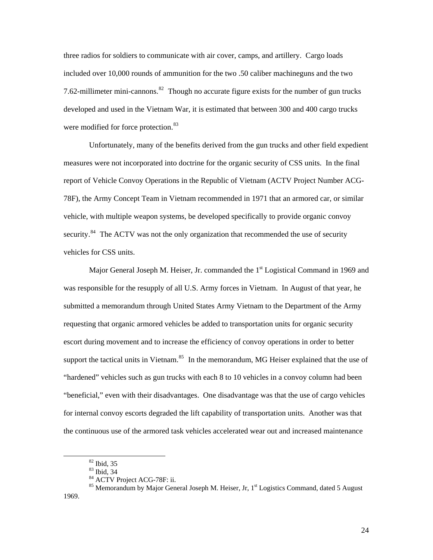three radios for soldiers to communicate with air cover, camps, and artillery. Cargo loads included over 10,000 rounds of ammunition for the two .50 caliber machineguns and the two 7.62-millimeter mini-cannons.<sup>[82](#page-29-0)</sup> Though no accurate figure exists for the number of gun trucks developed and used in the Vietnam War, it is estimated that between 300 and 400 cargo trucks were modified for force protection.<sup>[83](#page-29-1)</sup>

Unfortunately, many of the benefits derived from the gun trucks and other field expedient measures were not incorporated into doctrine for the organic security of CSS units. In the final report of Vehicle Convoy Operations in the Republic of Vietnam (ACTV Project Number ACG-78F), the Army Concept Team in Vietnam recommended in 1971 that an armored car, or similar vehicle, with multiple weapon systems, be developed specifically to provide organic convoy security.<sup>[84](#page-29-2)</sup> The ACTV was not the only organization that recommended the use of security vehicles for CSS units.

Major General Joseph M. Heiser, Jr. commanded the  $1<sup>st</sup>$  Logistical Command in 1969 and was responsible for the resupply of all U.S. Army forces in Vietnam. In August of that year, he submitted a memorandum through United States Army Vietnam to the Department of the Army requesting that organic armored vehicles be added to transportation units for organic security escort during movement and to increase the efficiency of convoy operations in order to better support the tactical units in Vietnam.<sup>[85](#page-29-3)</sup> In the memorandum, MG Heiser explained that the use of "hardened" vehicles such as gun trucks with each 8 to 10 vehicles in a convoy column had been "beneficial," even with their disadvantages. One disadvantage was that the use of cargo vehicles for internal convoy escorts degraded the lift capability of transportation units. Another was that the continuous use of the armored task vehicles accelerated wear out and increased maintenance

 $82$  Ibid, 35

<sup>83</sup> Ibid, 34

<sup>84</sup> ACTV Project ACG-78F: ii.

<span id="page-29-3"></span><span id="page-29-2"></span><span id="page-29-1"></span><span id="page-29-0"></span><sup>&</sup>lt;sup>85</sup> Memorandum by Major General Joseph M. Heiser, Jr, 1<sup>st</sup> Logistics Command, dated 5 August 1969.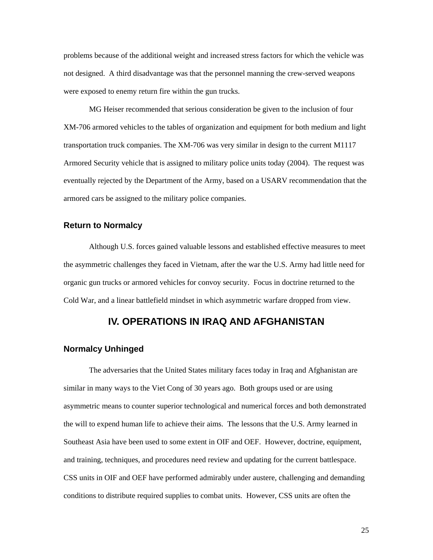<span id="page-30-0"></span>problems because of the additional weight and increased stress factors for which the vehicle was not designed. A third disadvantage was that the personnel manning the crew-served weapons were exposed to enemy return fire within the gun trucks.

MG Heiser recommended that serious consideration be given to the inclusion of four XM-706 armored vehicles to the tables of organization and equipment for both medium and light transportation truck companies. The XM-706 was very similar in design to the current M1117 Armored Security vehicle that is assigned to military police units today (2004). The request was eventually rejected by the Department of the Army, based on a USARV recommendation that the armored cars be assigned to the military police companies.

#### **Return to Normalcy**

Although U.S. forces gained valuable lessons and established effective measures to meet the asymmetric challenges they faced in Vietnam, after the war the U.S. Army had little need for organic gun trucks or armored vehicles for convoy security. Focus in doctrine returned to the Cold War, and a linear battlefield mindset in which asymmetric warfare dropped from view.

## **IV. OPERATIONS IN IRAQ AND AFGHANISTAN**

#### **Normalcy Unhinged**

The adversaries that the United States military faces today in Iraq and Afghanistan are similar in many ways to the Viet Cong of 30 years ago. Both groups used or are using asymmetric means to counter superior technological and numerical forces and both demonstrated the will to expend human life to achieve their aims. The lessons that the U.S. Army learned in Southeast Asia have been used to some extent in OIF and OEF. However, doctrine, equipment, and training, techniques, and procedures need review and updating for the current battlespace. CSS units in OIF and OEF have performed admirably under austere, challenging and demanding conditions to distribute required supplies to combat units. However, CSS units are often the

25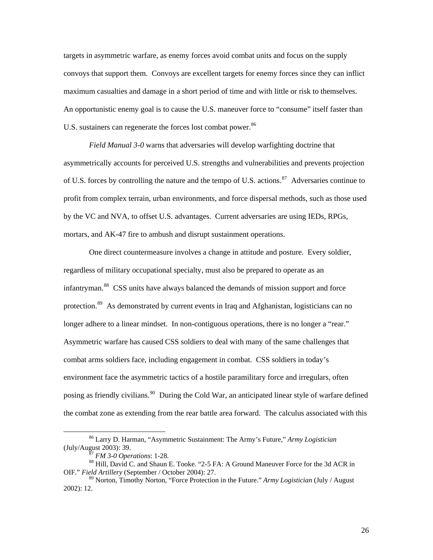targets in asymmetric warfare, as enemy forces avoid combat units and focus on the supply convoys that support them. Convoys are excellent targets for enemy forces since they can inflict maximum casualties and damage in a short period of time and with little or risk to themselves. An opportunistic enemy goal is to cause the U.S. maneuver force to "consume" itself faster than U.S. sustainers can regenerate the forces lost combat power.<sup>[86](#page-31-0)</sup>

*Field Manual 3-0* warns that adversaries will develop warfighting doctrine that asymmetrically accounts for perceived U.S. strengths and vulnerabilities and prevents projection of U.S. forces by controlling the nature and the tempo of U.S. actions.<sup>[87](#page-31-1)</sup> Adversaries continue to profit from complex terrain, urban environments, and force dispersal methods, such as those used by the VC and NVA, to offset U.S. advantages. Current adversaries are using IEDs, RPGs, mortars, and AK-47 fire to ambush and disrupt sustainment operations.

One direct countermeasure involves a change in attitude and posture. Every soldier, regardless of military occupational specialty, must also be prepared to operate as an infantryman.<sup>[88](#page-31-2)</sup> CSS units have always balanced the demands of mission support and force protection.<sup>[89](#page-31-3)</sup> As demonstrated by current events in Iraq and Afghanistan, logisticians can no longer adhere to a linear mindset. In non-contiguous operations, there is no longer a "rear." Asymmetric warfare has caused CSS soldiers to deal with many of the same challenges that combat arms soldiers face, including engagement in combat. CSS soldiers in today's environment face the asymmetric tactics of a hostile paramilitary force and irregulars, often posing as friendly civilians.<sup>[90](#page-31-4)</sup> During the Cold War, an anticipated linear style of warfare defined the combat zone as extending from the rear battle area forward. The calculus associated with this

<span id="page-31-0"></span> <sup>86</sup> Larry D. Harman, "Asymmetric Sustainment: The Army's Future," *Army Logistician*

<span id="page-31-4"></span><span id="page-31-2"></span><span id="page-31-1"></span><sup>&</sup>lt;sup>87</sup> *FM 3-0 Operations*: 1-28. 88 Hill, David C. and Shaun E. Tooke. "2-5 FA: A Ground Maneuver Force for the 3d ACR in OIF." *Field Artillery* (September / October 2004): 27.

<span id="page-31-3"></span><sup>89</sup> Norton, Timothy Norton, "Force Protection in the Future." *Army Logistician* (July / August 2002): 12.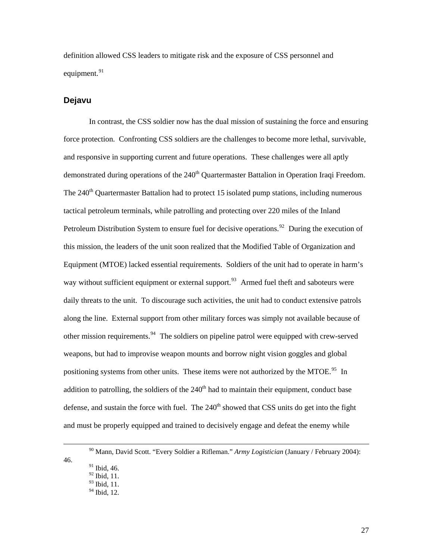<span id="page-32-0"></span>definition allowed CSS leaders to mitigate risk and the exposure of CSS personnel and equipment.<sup>[91](#page-32-1)</sup>

#### **Dejavu**

In contrast, the CSS soldier now has the dual mission of sustaining the force and ensuring force protection. Confronting CSS soldiers are the challenges to become more lethal, survivable, and responsive in supporting current and future operations. These challenges were all aptly demonstrated during operations of the 240<sup>th</sup> Quartermaster Battalion in Operation Iraqi Freedom. The  $240<sup>th</sup>$  Quartermaster Battalion had to protect 15 isolated pump stations, including numerous tactical petroleum terminals, while patrolling and protecting over 220 miles of the Inland Petroleum Distribution System to ensure fuel for decisive operations.<sup>[92](#page-32-2)</sup> During the execution of this mission, the leaders of the unit soon realized that the Modified Table of Organization and Equipment (MTOE) lacked essential requirements. Soldiers of the unit had to operate in harm's way without sufficient equipment or external support.  $93$  Armed fuel theft and saboteurs were daily threats to the unit. To discourage such activities, the unit had to conduct extensive patrols along the line. External support from other military forces was simply not available because of other mission requirements.[94](#page-32-4) The soldiers on pipeline patrol were equipped with crew-served weapons, but had to improvise weapon mounts and borrow night vision goggles and global positioning systems from other units. These items were not authorized by the MTOE.<sup>[95](#page-32-5)</sup> In addition to patrolling, the soldiers of the  $240<sup>th</sup>$  had to maintain their equipment, conduct base defense, and sustain the force with fuel. The  $240<sup>th</sup>$  showed that CSS units do get into the fight and must be properly equipped and trained to decisively engage and defeat the enemy while

<span id="page-32-5"></span><span id="page-32-4"></span><span id="page-32-3"></span><span id="page-32-2"></span><span id="page-32-1"></span> <sup>90</sup> Mann, David Scott. "Every Soldier a Rifleman." *Army Logistician* (January / February 2004): 46.

<sup>&</sup>lt;sup>91</sup> Ibid, 46.

<sup>92</sup> Ibid, 11.

<sup>93</sup> Ibid, 11.

 $94$  Ibid. 12.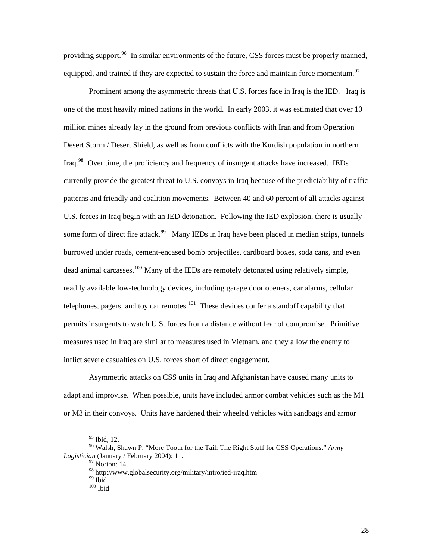providing support.  $96$  In similar environments of the future, CSS forces must be properly manned, equipped, and trained if they are expected to sustain the force and maintain force momentum.<sup>[97](#page-33-1)</sup>

Prominent among the asymmetric threats that U.S. forces face in Iraq is the IED. Iraq is one of the most heavily mined nations in the world. In early 2003, it was estimated that over 10 million mines already lay in the ground from previous conflicts with Iran and from Operation Desert Storm / Desert Shield, as well as from conflicts with the Kurdish population in northern Iraq.<sup>[98](#page-33-2)</sup> Over time, the proficiency and frequency of insurgent attacks have increased. IEDs currently provide the greatest threat to U.S. convoys in Iraq because of the predictability of traffic patterns and friendly and coalition movements. Between 40 and 60 percent of all attacks against U.S. forces in Iraq begin with an IED detonation. Following the IED explosion, there is usually some form of direct fire attack.<sup>[99](#page-33-3)</sup> Many IEDs in Iraq have been placed in median strips, tunnels burrowed under roads, cement-encased bomb projectiles, cardboard boxes, soda cans, and even dead animal carcasses.<sup>[100](#page-33-4)</sup> Many of the IEDs are remotely detonated using relatively simple, readily available low-technology devices, including garage door openers, car alarms, cellular telephones, pagers, and toy car remotes.<sup>[101](#page-33-5)</sup> These devices confer a standoff capability that permits insurgents to watch U.S. forces from a distance without fear of compromise. Primitive measures used in Iraq are similar to measures used in Vietnam, and they allow the enemy to inflict severe casualties on U.S. forces short of direct engagement.

Asymmetric attacks on CSS units in Iraq and Afghanistan have caused many units to adapt and improvise. When possible, units have included armor combat vehicles such as the M1 or M3 in their convoys. Units have hardened their wheeled vehicles with sandbags and armor

<sup>&</sup>lt;sup>95</sup> Ibid, 12.

<span id="page-33-5"></span><span id="page-33-4"></span><span id="page-33-3"></span><span id="page-33-2"></span><span id="page-33-1"></span><span id="page-33-0"></span><sup>96</sup> Walsh, Shawn P. "More Tooth for the Tail: The Right Stuff for CSS Operations." *Army Logistician* (January / February 2004): 11.<br><sup>97</sup> Norton: 14.

 $^{98}_{99}$ http://www.globalsecurity.org/military/intro/ied-iraq.htm $^{99}$  Ibid

 $100$  Ibid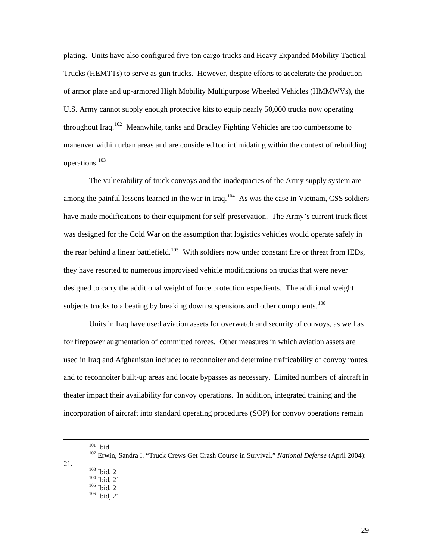plating. Units have also configured five-ton cargo trucks and Heavy Expanded Mobility Tactical Trucks (HEMTTs) to serve as gun trucks. However, despite efforts to accelerate the production of armor plate and up-armored High Mobility Multipurpose Wheeled Vehicles (HMMWVs), the U.S. Army cannot supply enough protective kits to equip nearly 50,000 trucks now operating throughout Iraq.<sup>[102](#page-34-0)</sup> Meanwhile, tanks and Bradley Fighting Vehicles are too cumbersome to maneuver within urban areas and are considered too intimidating within the context of rebuilding operations.[103](#page-34-1)

The vulnerability of truck convoys and the inadequacies of the Army supply system are among the painful lessons learned in the war in Iraq.<sup>[104](#page-34-2)</sup> As was the case in Vietnam, CSS soldiers have made modifications to their equipment for self-preservation. The Army's current truck fleet was designed for the Cold War on the assumption that logistics vehicles would operate safely in the rear behind a linear battlefield.<sup>[105](#page-34-3)</sup> With soldiers now under constant fire or threat from IEDs, they have resorted to numerous improvised vehicle modifications on trucks that were never designed to carry the additional weight of force protection expedients. The additional weight subjects trucks to a beating by breaking down suspensions and other components.<sup>[106](#page-34-4)</sup>

Units in Iraq have used aviation assets for overwatch and security of convoys, as well as for firepower augmentation of committed forces. Other measures in which aviation assets are used in Iraq and Afghanistan include: to reconnoiter and determine trafficability of convoy routes, and to reconnoiter built-up areas and locate bypasses as necessary. Limited numbers of aircraft in theater impact their availability for convoy operations. In addition, integrated training and the incorporation of aircraft into standard operating procedures (SOP) for convoy operations remain

<span id="page-34-4"></span><span id="page-34-3"></span><span id="page-34-2"></span><span id="page-34-1"></span><span id="page-34-0"></span><sup>&</sup>lt;sup>101</sup> Ibid<br><sup>102</sup> Erwin, Sandra I. "Truck Crews Get Crash Course in Survival." *National Defense* (April 2004): 21.  $\frac{103}{104}$  Ibid, 21<br> $\frac{104}{105}$  Ibid, 21<br> $\frac{106}{106}$  Ibid, 21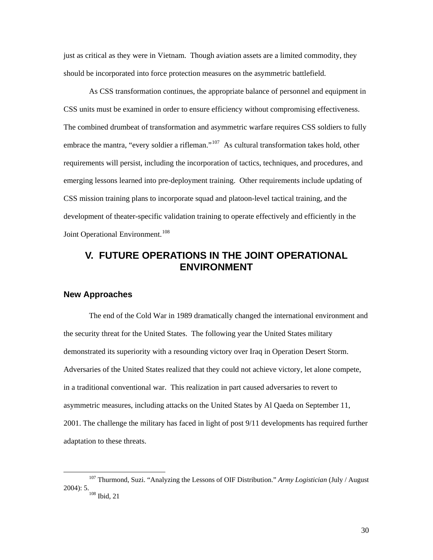<span id="page-35-0"></span>just as critical as they were in Vietnam. Though aviation assets are a limited commodity, they should be incorporated into force protection measures on the asymmetric battlefield.

As CSS transformation continues, the appropriate balance of personnel and equipment in CSS units must be examined in order to ensure efficiency without compromising effectiveness. The combined drumbeat of transformation and asymmetric warfare requires CSS soldiers to fully embrace the mantra, "every soldier a rifleman."<sup>[107](#page-35-1)</sup> As cultural transformation takes hold, other requirements will persist, including the incorporation of tactics, techniques, and procedures, and emerging lessons learned into pre-deployment training. Other requirements include updating of CSS mission training plans to incorporate squad and platoon-level tactical training, and the development of theater-specific validation training to operate effectively and efficiently in the Joint Operational Environment.<sup>[108](#page-35-2)</sup>

# **V. FUTURE OPERATIONS IN THE JOINT OPERATIONAL ENVIRONMENT**

#### **New Approaches**

The end of the Cold War in 1989 dramatically changed the international environment and the security threat for the United States. The following year the United States military demonstrated its superiority with a resounding victory over Iraq in Operation Desert Storm. Adversaries of the United States realized that they could not achieve victory, let alone compete, in a traditional conventional war. This realization in part caused adversaries to revert to asymmetric measures, including attacks on the United States by Al Qaeda on September 11, 2001. The challenge the military has faced in light of post 9/11 developments has required further adaptation to these threats.

<span id="page-35-2"></span><span id="page-35-1"></span> <sup>107</sup> Thurmond, Suzi. "Analyzing the Lessons of OIF Distribution." *Army Logistician* (July / August 2004): 5.  $\frac{108}{108}$  Ibid, 21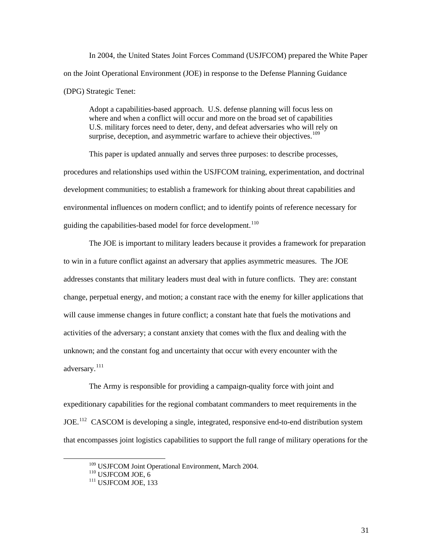In 2004, the United States Joint Forces Command (USJFCOM) prepared the White Paper on the Joint Operational Environment (JOE) in response to the Defense Planning Guidance (DPG) Strategic Tenet:

Adopt a capabilities-based approach. U.S. defense planning will focus less on where and when a conflict will occur and more on the broad set of capabilities U.S. military forces need to deter, deny, and defeat adversaries who will rely on surprise, deception, and asymmetric warfare to achieve their objectives.<sup>[109](#page-36-0)</sup>

This paper is updated annually and serves three purposes: to describe processes, procedures and relationships used within the USJFCOM training, experimentation, and doctrinal development communities; to establish a framework for thinking about threat capabilities and environmental influences on modern conflict; and to identify points of reference necessary for guiding the capabilities-based model for force development.<sup>[110](#page-36-1)</sup>

The JOE is important to military leaders because it provides a framework for preparation to win in a future conflict against an adversary that applies asymmetric measures. The JOE addresses constants that military leaders must deal with in future conflicts. They are: constant change, perpetual energy, and motion; a constant race with the enemy for killer applications that will cause immense changes in future conflict; a constant hate that fuels the motivations and activities of the adversary; a constant anxiety that comes with the flux and dealing with the unknown; and the constant fog and uncertainty that occur with every encounter with the adversary. $^{111}$  $^{111}$  $^{111}$ 

The Army is responsible for providing a campaign-quality force with joint and expeditionary capabilities for the regional combatant commanders to meet requirements in the JOE.<sup>[112](#page-36-3)</sup> CASCOM is developing a single, integrated, responsive end-to-end distribution system that encompasses joint logistics capabilities to support the full range of military operations for the

31

<span id="page-36-3"></span><span id="page-36-1"></span><span id="page-36-0"></span><sup>&</sup>lt;sup>109</sup> USJFCOM Joint Operational Environment, March 2004.<br><sup>110</sup> USJFCOM JOE, 6<br><sup>111</sup> USJFCOM JOE, 133

<span id="page-36-2"></span>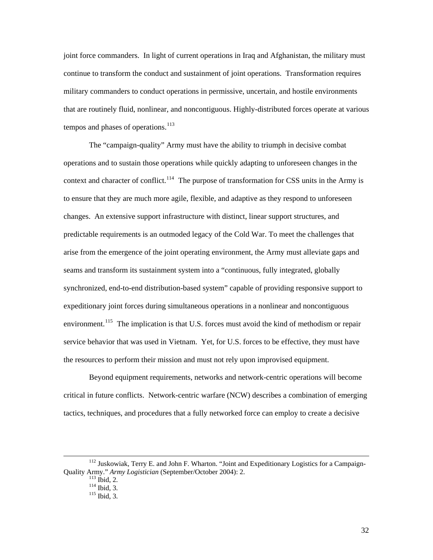joint force commanders. In light of current operations in Iraq and Afghanistan, the military must continue to transform the conduct and sustainment of joint operations. Transformation requires military commanders to conduct operations in permissive, uncertain, and hostile environments that are routinely fluid, nonlinear, and noncontiguous. Highly-distributed forces operate at various tempos and phases of operations. $113$ 

The "campaign-quality" Army must have the ability to triumph in decisive combat operations and to sustain those operations while quickly adapting to unforeseen changes in the context and character of conflict.<sup>[114](#page-37-1)</sup> The purpose of transformation for CSS units in the Army is to ensure that they are much more agile, flexible, and adaptive as they respond to unforeseen changes. An extensive support infrastructure with distinct, linear support structures, and predictable requirements is an outmoded legacy of the Cold War. To meet the challenges that arise from the emergence of the joint operating environment, the Army must alleviate gaps and seams and transform its sustainment system into a "continuous, fully integrated, globally synchronized, end-to-end distribution-based system" capable of providing responsive support to expeditionary joint forces during simultaneous operations in a nonlinear and noncontiguous environment.<sup>[115](#page-37-2)</sup> The implication is that U.S. forces must avoid the kind of methodism or repair service behavior that was used in Vietnam. Yet, for U.S. forces to be effective, they must have the resources to perform their mission and must not rely upon improvised equipment.

Beyond equipment requirements, networks and network-centric operations will become critical in future conflicts. Network-centric warfare (NCW) describes a combination of emerging tactics, techniques, and procedures that a fully networked force can employ to create a decisive

<span id="page-37-2"></span><span id="page-37-1"></span><span id="page-37-0"></span><sup>&</sup>lt;sup>112</sup> Juskowiak, Terry E. and John F. Wharton. "Joint and Expeditionary Logistics for a Campaign-Quality Army." *Army Logistician* (September/October 2004): 2.<br>
<sup>113</sup> Ibid, 2.<br>
<sup>115</sup> Ibid, 3.<br>
<sup>115</sup> Ibid. 3.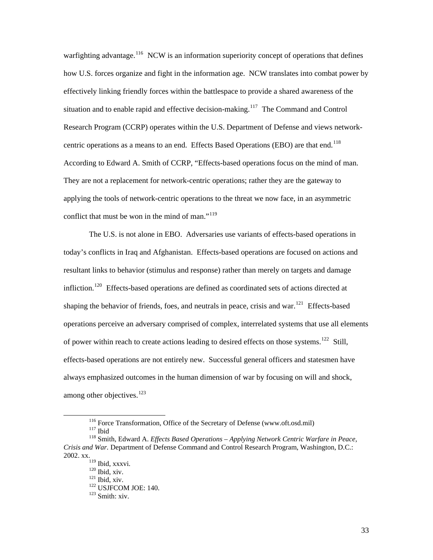warfighting advantage.<sup>[116](#page-38-0)</sup> NCW is an information superiority concept of operations that defines how U.S. forces organize and fight in the information age. NCW translates into combat power by effectively linking friendly forces within the battlespace to provide a shared awareness of the situation and to enable rapid and effective decision-making.<sup>[117](#page-38-1)</sup> The Command and Control Research Program (CCRP) operates within the U.S. Department of Defense and views network-centric operations as a means to an end. Effects Based Operations (EBO) are that end.<sup>[118](#page-38-2)</sup> According to Edward A. Smith of CCRP, "Effects-based operations focus on the mind of man. They are not a replacement for network-centric operations; rather they are the gateway to applying the tools of network-centric operations to the threat we now face, in an asymmetric conflict that must be won in the mind of man."<sup>[119](#page-38-3)</sup>

The U.S. is not alone in EBO. Adversaries use variants of effects-based operations in today's conflicts in Iraq and Afghanistan. Effects-based operations are focused on actions and resultant links to behavior (stimulus and response) rather than merely on targets and damage infliction.<sup>[120](#page-38-4)</sup> Effects-based operations are defined as coordinated sets of actions directed at shaping the behavior of friends, foes, and neutrals in peace, crisis and war.<sup>[121](#page-38-5)</sup> Effects-based operations perceive an adversary comprised of complex, interrelated systems that use all elements of power within reach to create actions leading to desired effects on those systems.<sup>[122](#page-38-6)</sup> Still, effects-based operations are not entirely new. Successful general officers and statesmen have always emphasized outcomes in the human dimension of war by focusing on will and shock, among other objectives. $^{123}$  $^{123}$  $^{123}$ 

<sup>&</sup>lt;sup>116</sup> Force Transformation, Office of the Secretary of Defense (www.oft.osd.mil)<br><sup>117</sup> Ibid<br><sup>118</sup> Smith, Edward A. *Effects Based Operations – Applying Network Centric Warfare in Peace*,

<span id="page-38-7"></span><span id="page-38-6"></span><span id="page-38-5"></span><span id="page-38-4"></span><span id="page-38-3"></span><span id="page-38-2"></span><span id="page-38-1"></span><span id="page-38-0"></span>*Crisis and War.* Department of Defense Command and Control Research Program, Washington, D.C.: 2002. xx.<br>
<sup>119</sup> Ibid, xxxvi.

<sup>&</sup>lt;sup>120</sup> Ibid, xiv.<br><sup>121</sup> Ibid, xiv.<br><sup>122</sup> USJFCOM JOE: 140.<br><sup>123</sup> Smith: xiv.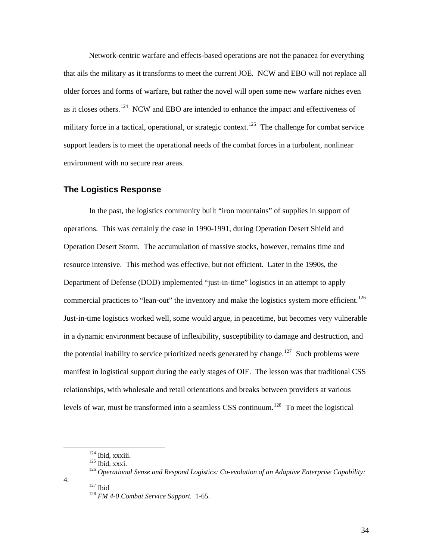<span id="page-39-0"></span>Network-centric warfare and effects-based operations are not the panacea for everything that ails the military as it transforms to meet the current JOE. NCW and EBO will not replace all older forces and forms of warfare, but rather the novel will open some new warfare niches even as it closes others.<sup>[124](#page-39-1)</sup> NCW and EBO are intended to enhance the impact and effectiveness of military force in a tactical, operational, or strategic context.<sup>[125](#page-39-2)</sup> The challenge for combat service support leaders is to meet the operational needs of the combat forces in a turbulent, nonlinear environment with no secure rear areas.

#### **The Logistics Response**

In the past, the logistics community built "iron mountains" of supplies in support of operations. This was certainly the case in 1990-1991, during Operation Desert Shield and Operation Desert Storm. The accumulation of massive stocks, however, remains time and resource intensive. This method was effective, but not efficient. Later in the 1990s, the Department of Defense (DOD) implemented "just-in-time" logistics in an attempt to apply commercial practices to "lean-out" the inventory and make the logistics system more efficient.<sup>[126](#page-39-3)</sup> Just-in-time logistics worked well, some would argue, in peacetime, but becomes very vulnerable in a dynamic environment because of inflexibility, susceptibility to damage and destruction, and the potential inability to service prioritized needs generated by change.<sup>[127](#page-39-4)</sup> Such problems were manifest in logistical support during the early stages of OIF. The lesson was that traditional CSS relationships, with wholesale and retail orientations and breaks between providers at various levels of war, must be transformed into a seamless CSS continuum.<sup>[128](#page-39-5)</sup> To meet the logistical

<span id="page-39-5"></span><span id="page-39-4"></span>

<sup>&</sup>lt;sup>124</sup> Ibid, xxxiii.<br><sup>125</sup> Ibid, xxxi.<br><sup>126</sup> Operational Sense and Respond Logistics: Co-evolution of an Adaptive Enterprise Capability:

<span id="page-39-3"></span><span id="page-39-2"></span><span id="page-39-1"></span><sup>4. 127</sup> Ibid 128 *FM 4-0 Combat Service Support.* 1-65.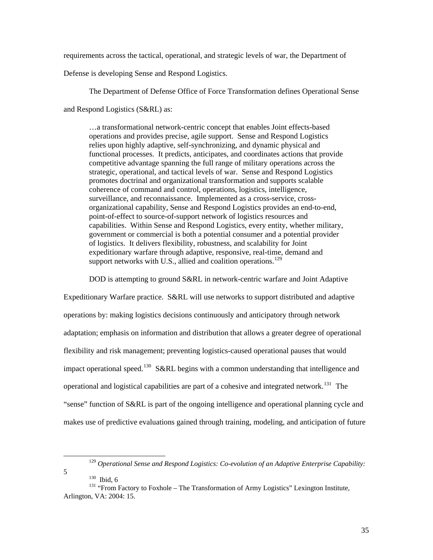requirements across the tactical, operational, and strategic levels of war, the Department of

Defense is developing Sense and Respond Logistics.

The Department of Defense Office of Force Transformation defines Operational Sense and Respond Logistics (S&RL) as:

…a transformational network-centric concept that enables Joint effects-based operations and provides precise, agile support. Sense and Respond Logistics relies upon highly adaptive, self-synchronizing, and dynamic physical and functional processes. It predicts, anticipates, and coordinates actions that provide competitive advantage spanning the full range of military operations across the strategic, operational, and tactical levels of war. Sense and Respond Logistics promotes doctrinal and organizational transformation and supports scalable coherence of command and control, operations, logistics, intelligence, surveillance, and reconnaissance. Implemented as a cross-service, crossorganizational capability, Sense and Respond Logistics provides an end-to-end, point-of-effect to source-of-support network of logistics resources and capabilities. Within Sense and Respond Logistics, every entity, whether military, government or commercial is both a potential consumer and a potential provider of logistics. It delivers flexibility, robustness, and scalability for Joint expeditionary warfare through adaptive, responsive, real-time, demand and support networks with U.S., allied and coalition operations.<sup>[129](#page-40-0)</sup>

DOD is attempting to ground S&RL in network-centric warfare and Joint Adaptive

Expeditionary Warfare practice. S&RL will use networks to support distributed and adaptive operations by: making logistics decisions continuously and anticipatory through network adaptation; emphasis on information and distribution that allows a greater degree of operational flexibility and risk management; preventing logistics-caused operational pauses that would impact operational speed.<sup>[130](#page-40-1)</sup> S&RL begins with a common understanding that intelligence and operational and logistical capabilities are part of a cohesive and integrated network.<sup>[131](#page-40-2)</sup> The "sense" function of S&RL is part of the ongoing intelligence and operational planning cycle and makes use of predictive evaluations gained through training, modeling, and anticipation of future

 <sup>129</sup> *Operational Sense and Respond Logistics: Co-evolution of an Adaptive Enterprise Capability:*

<span id="page-40-2"></span><span id="page-40-1"></span><span id="page-40-0"></span><sup>&</sup>lt;sup>130</sup> Ibid, 6<br><sup>131</sup> "From Factory to Foxhole – The Transformation of Army Logistics" Lexington Institute, Arlington, VA: 2004: 15.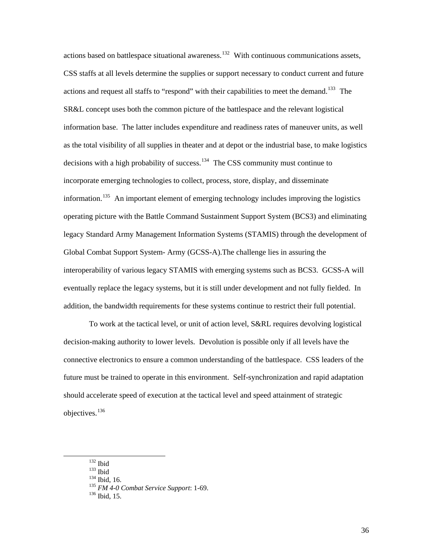actions based on battlespace situational awareness.<sup>[132](#page-41-0)</sup> With continuous communications assets, CSS staffs at all levels determine the supplies or support necessary to conduct current and future actions and request all staffs to "respond" with their capabilities to meet the demand.<sup>[133](#page-41-1)</sup> The SR&L concept uses both the common picture of the battlespace and the relevant logistical information base. The latter includes expenditure and readiness rates of maneuver units, as well as the total visibility of all supplies in theater and at depot or the industrial base, to make logistics decisions with a high probability of success.<sup>[134](#page-41-2)</sup> The CSS community must continue to incorporate emerging technologies to collect, process, store, display, and disseminate information.<sup>[135](#page-41-3)</sup> An important element of emerging technology includes improving the logistics operating picture with the Battle Command Sustainment Support System (BCS3) and eliminating legacy Standard Army Management Information Systems (STAMIS) through the development of Global Combat Support System- Army (GCSS-A).The challenge lies in assuring the interoperability of various legacy STAMIS with emerging systems such as BCS3. GCSS-A will eventually replace the legacy systems, but it is still under development and not fully fielded. In addition, the bandwidth requirements for these systems continue to restrict their full potential.

To work at the tactical level, or unit of action level, S&RL requires devolving logistical decision-making authority to lower levels. Devolution is possible only if all levels have the connective electronics to ensure a common understanding of the battlespace. CSS leaders of the future must be trained to operate in this environment. Self-synchronization and rapid adaptation should accelerate speed of execution at the tactical level and speed attainment of strategic objectives.[136](#page-41-4) 

<span id="page-41-4"></span><span id="page-41-3"></span>

<span id="page-41-1"></span><span id="page-41-0"></span>

<span id="page-41-2"></span>

 <sup>132</sup> Ibid 133 Ibid 134 Ibid, 16. 135 *FM 4-0 Combat Service Support*: 1-69. 136 Ibid, 15.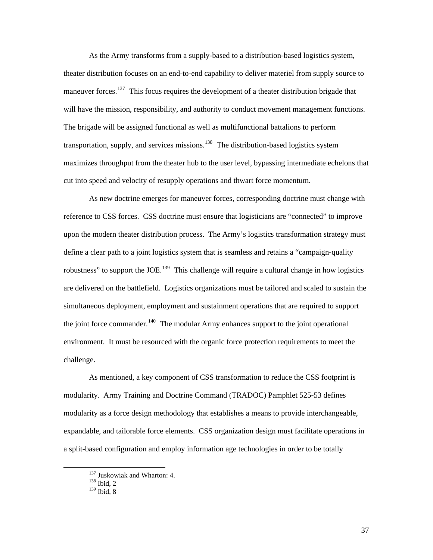As the Army transforms from a supply-based to a distribution-based logistics system, theater distribution focuses on an end-to-end capability to deliver materiel from supply source to maneuver forces.<sup>[137](#page-42-0)</sup> This focus requires the development of a theater distribution brigade that will have the mission, responsibility, and authority to conduct movement management functions. The brigade will be assigned functional as well as multifunctional battalions to perform transportation, supply, and services missions.<sup>[138](#page-42-1)</sup> The distribution-based logistics system maximizes throughput from the theater hub to the user level, bypassing intermediate echelons that cut into speed and velocity of resupply operations and thwart force momentum.

As new doctrine emerges for maneuver forces, corresponding doctrine must change with reference to CSS forces. CSS doctrine must ensure that logisticians are "connected" to improve upon the modern theater distribution process. The Army's logistics transformation strategy must define a clear path to a joint logistics system that is seamless and retains a "campaign-quality robustness" to support the JOE.<sup>[139](#page-42-2)</sup> This challenge will require a cultural change in how logistics are delivered on the battlefield. Logistics organizations must be tailored and scaled to sustain the simultaneous deployment, employment and sustainment operations that are required to support the joint force commander.<sup>[140](#page-42-3)</sup> The modular Army enhances support to the joint operational environment. It must be resourced with the organic force protection requirements to meet the challenge.

<span id="page-42-3"></span>As mentioned, a key component of CSS transformation to reduce the CSS footprint is modularity. Army Training and Doctrine Command (TRADOC) Pamphlet 525-53 defines modularity as a force design methodology that establishes a means to provide interchangeable, expandable, and tailorable force elements. CSS organization design must facilitate operations in a split-based configuration and employ information age technologies in order to be totally

<span id="page-42-0"></span> $^{137}$  Juskowiak and Wharton: 4.  $^{138}$  Ibid, 2

<span id="page-42-2"></span><span id="page-42-1"></span>

<sup>139</sup> Ibid, 8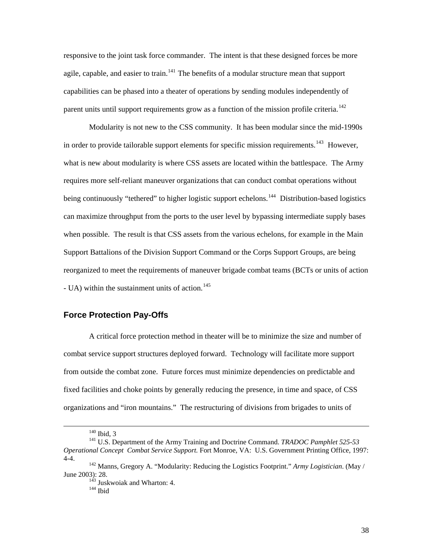<span id="page-43-0"></span>responsive to the joint task force commander. The intent is that these designed forces be more agile, capable, and easier to train.<sup>[141](#page-43-1)</sup> The benefits of a modular structure mean that support capabilities can be phased into a theater of operations by sending modules independently of parent units until support requirements grow as a function of the mission profile criteria.<sup>[142](#page-43-2)</sup>

Modularity is not new to the CSS community. It has been modular since the mid-1990s in order to provide tailorable support elements for specific mission requirements.<sup>[143](#page-43-3)</sup> However, what is new about modularity is where CSS assets are located within the battlespace. The Army requires more self-reliant maneuver organizations that can conduct combat operations without being continuously "tethered" to higher logistic support echelons.<sup>[144](#page-43-4)</sup> Distribution-based logistics can maximize throughput from the ports to the user level by bypassing intermediate supply bases when possible. The result is that CSS assets from the various echelons, for example in the Main Support Battalions of the Division Support Command or the Corps Support Groups, are being reorganized to meet the requirements of maneuver brigade combat teams (BCTs or units of action - UA) within the sustainment units of action.<sup>[145](#page-43-5)</sup>

## **Force Protection Pay-Offs**

A critical force protection method in theater will be to minimize the size and number of combat service support structures deployed forward. Technology will facilitate more support from outside the combat zone. Future forces must minimize dependencies on predictable and fixed facilities and choke points by generally reducing the presence, in time and space, of CSS organizations and "iron mountains." The restructuring of divisions from brigades to units of

<span id="page-43-1"></span><sup>&</sup>lt;sup>140</sup> Ibid, 3<br><sup>141</sup> U.S. Department of the Army Training and Doctrine Command. *TRADOC Pamphlet 525-53 Operational Concept Combat Service Support.* Fort Monroe, VA: U.S. Government Printing Office, 1997: 4-4. 142 Manns, Gregory A. "Modularity: Reducing the Logistics Footprint." *Army Logistician*. (May /

<span id="page-43-5"></span><span id="page-43-4"></span><span id="page-43-3"></span><span id="page-43-2"></span>June 2003): 28. 143 Juskwoiak and Wharton: 4. 144 Ibid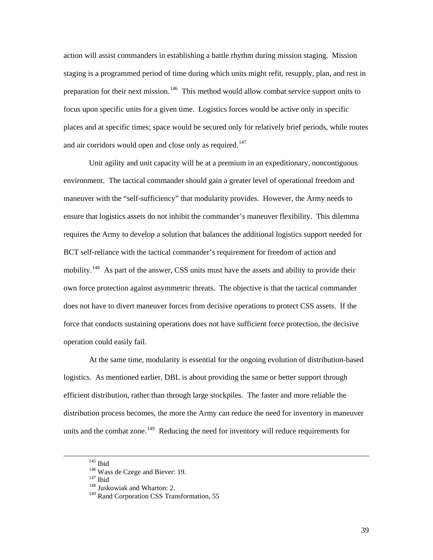action will assist commanders in establishing a battle rhythm during mission staging. Mission staging is a programmed period of time during which units might refit, resupply, plan, and rest in preparation for their next mission.<sup>[146](#page-44-0)</sup> This method would allow combat service support units to focus upon specific units for a given time. Logistics forces would be active only in specific places and at specific times; space would be secured only for relatively brief periods, while routes and air corridors would open and close only as required.<sup>[147](#page-44-1)</sup>

Unit agility and unit capacity will be at a premium in an expeditionary, noncontiguous environment. The tactical commander should gain a greater level of operational freedom and maneuver with the "self-sufficiency" that modularity provides. However, the Army needs to ensure that logistics assets do not inhibit the commander's maneuver flexibility. This dilemma requires the Army to develop a solution that balances the additional logistics support needed for BCT self-reliance with the tactical commander's requirement for freedom of action and mobility.<sup>[148](#page-44-2)</sup> As part of the answer, CSS units must have the assets and ability to provide their own force protection against asymmetric threats. The objective is that the tactical commander does not have to divert maneuver forces from decisive operations to protect CSS assets. If the force that conducts sustaining operations does not have sufficient force protection, the decisive operation could easily fail.

At the same time, modularity is essential for the ongoing evolution of distribution-based logistics. As mentioned earlier, DBL is about providing the same or better support through efficient distribution, rather than through large stockpiles. The faster and more reliable the distribution process becomes, the more the Army can reduce the need for inventory in maneuver units and the combat zone.<sup>[149](#page-44-3)</sup> Reducing the need for inventory will reduce requirements for

<span id="page-44-3"></span><span id="page-44-2"></span><span id="page-44-1"></span><span id="page-44-0"></span><sup>&</sup>lt;sup>145</sup> Ibid<br><sup>146</sup> Wass de Czege and Biever: 19.<br><sup>147</sup> Ibid<br><sup>148</sup> Juskowiak and Wharton: 2.

<sup>&</sup>lt;sup>149</sup> Rand Corporation CSS Transformation, 55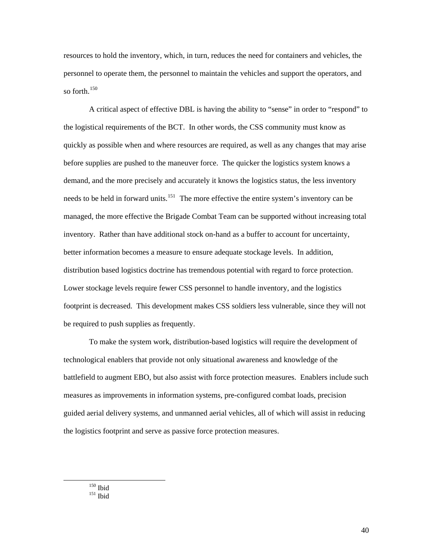resources to hold the inventory, which, in turn, reduces the need for containers and vehicles, the personnel to operate them, the personnel to maintain the vehicles and support the operators, and so forth. $150$ 

A critical aspect of effective DBL is having the ability to "sense" in order to "respond" to the logistical requirements of the BCT. In other words, the CSS community must know as quickly as possible when and where resources are required, as well as any changes that may arise before supplies are pushed to the maneuver force. The quicker the logistics system knows a demand, and the more precisely and accurately it knows the logistics status, the less inventory needs to be held in forward units.<sup>[151](#page-45-1)</sup> The more effective the entire system's inventory can be managed, the more effective the Brigade Combat Team can be supported without increasing total inventory. Rather than have additional stock on-hand as a buffer to account for uncertainty, better information becomes a measure to ensure adequate stockage levels. In addition, distribution based logistics doctrine has tremendous potential with regard to force protection. Lower stockage levels require fewer CSS personnel to handle inventory, and the logistics footprint is decreased. This development makes CSS soldiers less vulnerable, since they will not be required to push supplies as frequently.

To make the system work, distribution-based logistics will require the development of technological enablers that provide not only situational awareness and knowledge of the battlefield to augment EBO, but also assist with force protection measures. Enablers include such measures as improvements in information systems, pre-configured combat loads, precision guided aerial delivery systems, and unmanned aerial vehicles, all of which will assist in reducing the logistics footprint and serve as passive force protection measures.

<span id="page-45-1"></span><span id="page-45-0"></span> $150$  Ibid  $151$  Ibid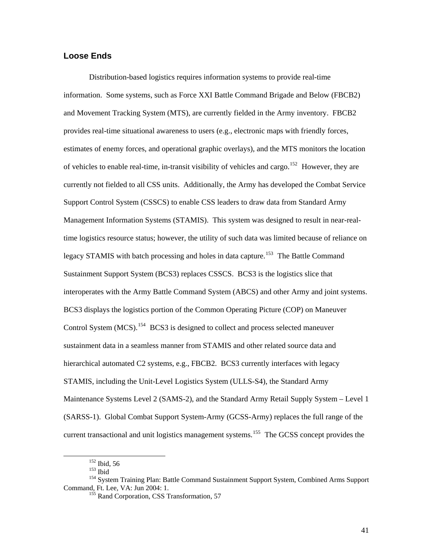#### <span id="page-46-0"></span>**Loose Ends**

Distribution-based logistics requires information systems to provide real-time information. Some systems, such as Force XXI Battle Command Brigade and Below (FBCB2) and Movement Tracking System (MTS), are currently fielded in the Army inventory. FBCB2 provides real-time situational awareness to users (e.g., electronic maps with friendly forces, estimates of enemy forces, and operational graphic overlays), and the MTS monitors the location of vehicles to enable real-time, in-transit visibility of vehicles and cargo.<sup>[152](#page-46-1)</sup> However, they are currently not fielded to all CSS units. Additionally, the Army has developed the Combat Service Support Control System (CSSCS) to enable CSS leaders to draw data from Standard Army Management Information Systems (STAMIS). This system was designed to result in near-realtime logistics resource status; however, the utility of such data was limited because of reliance on legacy STAMIS with batch processing and holes in data capture.<sup>[153](#page-46-2)</sup> The Battle Command Sustainment Support System (BCS3) replaces CSSCS. BCS3 is the logistics slice that interoperates with the Army Battle Command System (ABCS) and other Army and joint systems. BCS3 displays the logistics portion of the Common Operating Picture (COP) on Maneuver Control System (MCS).<sup>[154](#page-46-3)</sup> BCS3 is designed to collect and process selected maneuver sustainment data in a seamless manner from STAMIS and other related source data and hierarchical automated C2 systems, e.g., FBCB2. BCS3 currently interfaces with legacy STAMIS, including the Unit-Level Logistics System (ULLS-S4), the Standard Army Maintenance Systems Level 2 (SAMS-2), and the Standard Army Retail Supply System – Level 1 (SARSS-1). Global Combat Support System-Army (GCSS-Army) replaces the full range of the current transactional and unit logistics management systems.<sup>[155](#page-46-4)</sup> The GCSS concept provides the

<span id="page-46-4"></span><span id="page-46-3"></span><span id="page-46-2"></span><span id="page-46-1"></span><sup>&</sup>lt;sup>152</sup> Ibid, 56<br><sup>153</sup> Ibid<br><sup>154</sup> System Training Plan: Battle Command Sustainment Support System, Combined Arms Support<br>Command, Ft. Lee, VA: Jun 2004: 1.

<sup>&</sup>lt;sup>155</sup> Rand Corporation, CSS Transformation, 57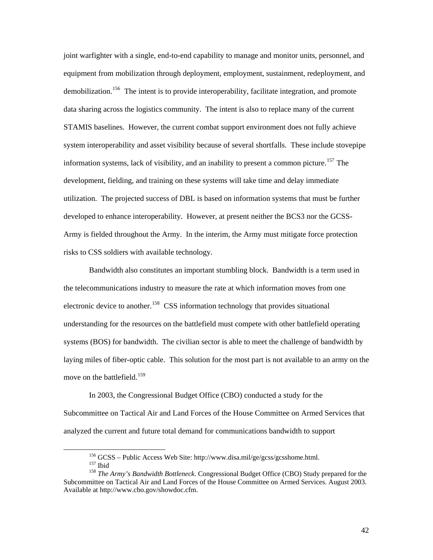joint warfighter with a single, end-to-end capability to manage and monitor units, personnel, and equipment from mobilization through deployment, employment, sustainment, redeployment, and demobilization.<sup>[156](#page-47-0)</sup> The intent is to provide interoperability, facilitate integration, and promote data sharing across the logistics community. The intent is also to replace many of the current STAMIS baselines. However, the current combat support environment does not fully achieve system interoperability and asset visibility because of several shortfalls. These include stovepipe information systems, lack of visibility, and an inability to present a common picture.<sup>[157](#page-47-1)</sup> The development, fielding, and training on these systems will take time and delay immediate utilization. The projected success of DBL is based on information systems that must be further developed to enhance interoperability. However, at present neither the BCS3 nor the GCSS-Army is fielded throughout the Army. In the interim, the Army must mitigate force protection risks to CSS soldiers with available technology.

Bandwidth also constitutes an important stumbling block. Bandwidth is a term used in the telecommunications industry to measure the rate at which information moves from one electronic device to another.<sup>[158](#page-47-2)</sup> CSS information technology that provides situational understanding for the resources on the battlefield must compete with other battlefield operating systems (BOS) for bandwidth. The civilian sector is able to meet the challenge of bandwidth by laying miles of fiber-optic cable. This solution for the most part is not available to an army on the move on the battlefield.<sup>[159](#page-47-3)</sup>

In 2003, the Congressional Budget Office (CBO) conducted a study for the Subcommittee on Tactical Air and Land Forces of the House Committee on Armed Services that analyzed the current and future total demand for communications bandwidth to support

<span id="page-47-3"></span><span id="page-47-2"></span><span id="page-47-1"></span><span id="page-47-0"></span><sup>&</sup>lt;sup>156</sup> GCSS – Public Access Web Site: http://www.disa.mil/ge/gcss/gcsshome.html.<br><sup>157</sup> Ibid 158 *The Army's Bandwidth Bottleneck*. Congressional Budget Office (CBO) Study prepared for the Subcommittee on Tactical Air and Land Forces of the House Committee on Armed Services. August 2003. Available at http://www.cbo.gov/showdoc.cfm.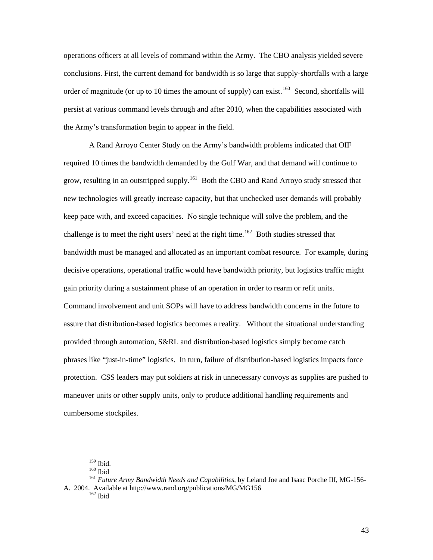operations officers at all levels of command within the Army. The CBO analysis yielded severe conclusions. First, the current demand for bandwidth is so large that supply-shortfalls with a large order of magnitude (or up to 10 times the amount of supply) can exist.<sup>[160](#page-48-0)</sup> Second, shortfalls will persist at various command levels through and after 2010, when the capabilities associated with the Army's transformation begin to appear in the field.

A Rand Arroyo Center Study on the Army's bandwidth problems indicated that OIF required 10 times the bandwidth demanded by the Gulf War, and that demand will continue to grow, resulting in an outstripped supply.<sup>[161](#page-48-1)</sup> Both the CBO and Rand Arroyo study stressed that new technologies will greatly increase capacity, but that unchecked user demands will probably keep pace with, and exceed capacities. No single technique will solve the problem, and the challenge is to meet the right users' need at the right time.<sup>[162](#page-48-2)</sup> Both studies stressed that bandwidth must be managed and allocated as an important combat resource. For example, during decisive operations, operational traffic would have bandwidth priority, but logistics traffic might gain priority during a sustainment phase of an operation in order to rearm or refit units. Command involvement and unit SOPs will have to address bandwidth concerns in the future to assure that distribution-based logistics becomes a reality. Without the situational understanding provided through automation, S&RL and distribution-based logistics simply become catch phrases like "just-in-time" logistics. In turn, failure of distribution-based logistics impacts force protection. CSS leaders may put soldiers at risk in unnecessary convoys as supplies are pushed to maneuver units or other supply units, only to produce additional handling requirements and cumbersome stockpiles.

<span id="page-48-2"></span><span id="page-48-1"></span><span id="page-48-0"></span><sup>&</sup>lt;sup>159</sup> Ibid.<br><sup>160</sup> Ibid<br><sup>161</sup> *Future Army Bandwidth Needs and Capabilities*, by Leland Joe and Isaac Porche III, MG-156-A. 2004. Available at http://www.rand.org/publications/MG/MG156 162 Ibid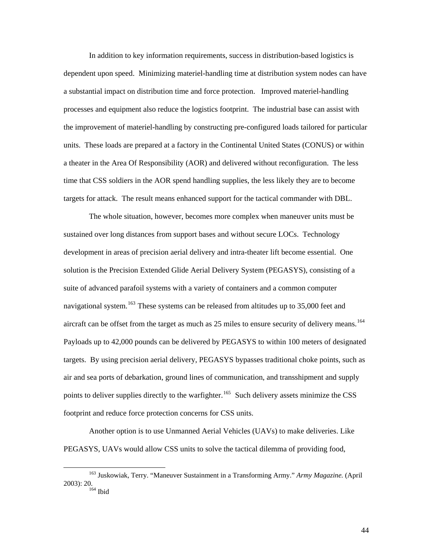In addition to key information requirements, success in distribution-based logistics is dependent upon speed. Minimizing materiel-handling time at distribution system nodes can have a substantial impact on distribution time and force protection. Improved materiel-handling processes and equipment also reduce the logistics footprint. The industrial base can assist with the improvement of materiel-handling by constructing pre-configured loads tailored for particular units. These loads are prepared at a factory in the Continental United States (CONUS) or within a theater in the Area Of Responsibility (AOR) and delivered without reconfiguration. The less time that CSS soldiers in the AOR spend handling supplies, the less likely they are to become targets for attack. The result means enhanced support for the tactical commander with DBL.

The whole situation, however, becomes more complex when maneuver units must be sustained over long distances from support bases and without secure LOCs. Technology development in areas of precision aerial delivery and intra-theater lift become essential. One solution is the Precision Extended Glide Aerial Delivery System (PEGASYS), consisting of a suite of advanced parafoil systems with a variety of containers and a common computer navigational system.<sup>[163](#page-49-0)</sup> These systems can be released from altitudes up to  $35,000$  feet and aircraft can be offset from the target as much as 25 miles to ensure security of delivery means.<sup>[164](#page-49-1)</sup> Payloads up to 42,000 pounds can be delivered by PEGASYS to within 100 meters of designated targets. By using precision aerial delivery, PEGASYS bypasses traditional choke points, such as air and sea ports of debarkation, ground lines of communication, and transshipment and supply points to deliver supplies directly to the warfighter.<sup>[165](#page-49-2)</sup> Such delivery assets minimize the CSS footprint and reduce force protection concerns for CSS units.

Another option is to use Unmanned Aerial Vehicles (UAVs) to make deliveries. Like PEGASYS, UAVs would allow CSS units to solve the tactical dilemma of providing food,

<span id="page-49-2"></span><span id="page-49-1"></span><span id="page-49-0"></span> <sup>163</sup> Juskowiak, Terry. "Maneuver Sustainment in a Transforming Army." *Army Magazine.* (April 2003): 20. 164 Ibid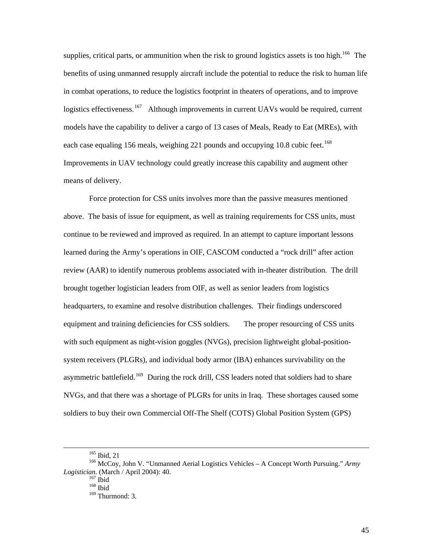supplies, critical parts, or ammunition when the risk to ground logistics assets is too high.<sup>[166](#page-50-0)</sup> The benefits of using unmanned resupply aircraft include the potential to reduce the risk to human life in combat operations, to reduce the logistics footprint in theaters of operations, and to improve logistics effectiveness.<sup>[167](#page-50-1)</sup> Although improvements in current UAVs would be required, current models have the capability to deliver a cargo of 13 cases of Meals, Ready to Eat (MREs), with each case equaling 156 meals, weighing 221 pounds and occupying 10.8 cubic feet.<sup>[168](#page-50-2)</sup> Improvements in UAV technology could greatly increase this capability and augment other means of delivery.

Force protection for CSS units involves more than the passive measures mentioned above. The basis of issue for equipment, as well as training requirements for CSS units, must continue to be reviewed and improved as required. In an attempt to capture important lessons learned during the Army's operations in OIF, CASCOM conducted a "rock drill" after action review (AAR) to identify numerous problems associated with in-theater distribution. The drill brought together logistician leaders from OIF, as well as senior leaders from logistics headquarters, to examine and resolve distribution challenges. Their findings underscored equipment and training deficiencies for CSS soldiers. The proper resourcing of CSS units with such equipment as night-vision goggles (NVGs), precision lightweight global-positionsystem receivers (PLGRs), and individual body armor (IBA) enhances survivability on the asymmetric battlefield.<sup>[169](#page-50-3)</sup> During the rock drill, CSS leaders noted that soldiers had to share NVGs, and that there was a shortage of PLGRs for units in Iraq. These shortages caused some soldiers to buy their own Commercial Off-The Shelf (COTS) Global Position System (GPS)

<span id="page-50-3"></span><span id="page-50-2"></span><span id="page-50-1"></span><span id="page-50-0"></span><sup>&</sup>lt;sup>165</sup> Ibid, 21<br><sup>166</sup> McCoy, John V. "Unmanned Aerial Logistics Vehicles – A Concept Worth Pursuing." *Army Logistician.* (March / April 2004): 40.<br><sup>167</sup> Ibid<br><sup>168</sup> Ibid

<sup>&</sup>lt;sup>169</sup> Thurmond: 3.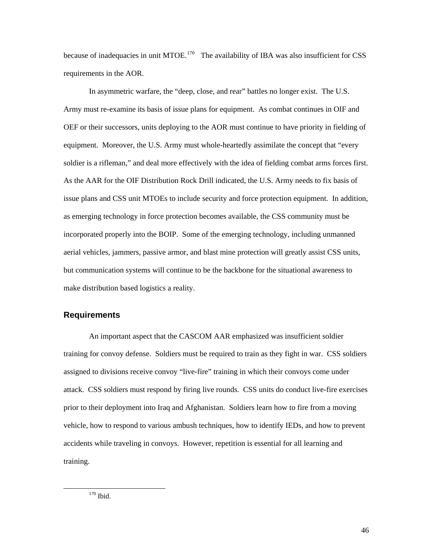<span id="page-51-0"></span>because of inadequacies in unit MTOE.<sup>[170](#page-51-1)</sup> The availability of IBA was also insufficient for CSS requirements in the AOR.

In asymmetric warfare, the "deep, close, and rear" battles no longer exist. The U.S. Army must re-examine its basis of issue plans for equipment. As combat continues in OIF and OEF or their successors, units deploying to the AOR must continue to have priority in fielding of equipment. Moreover, the U.S. Army must whole-heartedly assimilate the concept that "every soldier is a rifleman," and deal more effectively with the idea of fielding combat arms forces first. As the AAR for the OIF Distribution Rock Drill indicated, the U.S. Army needs to fix basis of issue plans and CSS unit MTOEs to include security and force protection equipment. In addition, as emerging technology in force protection becomes available, the CSS community must be incorporated properly into the BOIP. Some of the emerging technology, including unmanned aerial vehicles, jammers, passive armor, and blast mine protection will greatly assist CSS units, but communication systems will continue to be the backbone for the situational awareness to make distribution based logistics a reality.

## **Requirements**

<span id="page-51-1"></span>An important aspect that the CASCOM AAR emphasized was insufficient soldier training for convoy defense. Soldiers must be required to train as they fight in war. CSS soldiers assigned to divisions receive convoy "live-fire" training in which their convoys come under attack. CSS soldiers must respond by firing live rounds. CSS units do conduct live-fire exercises prior to their deployment into Iraq and Afghanistan. Soldiers learn how to fire from a moving vehicle, how to respond to various ambush techniques, how to identify IEDs, and how to prevent accidents while traveling in convoys. However, repetition is essential for all learning and training.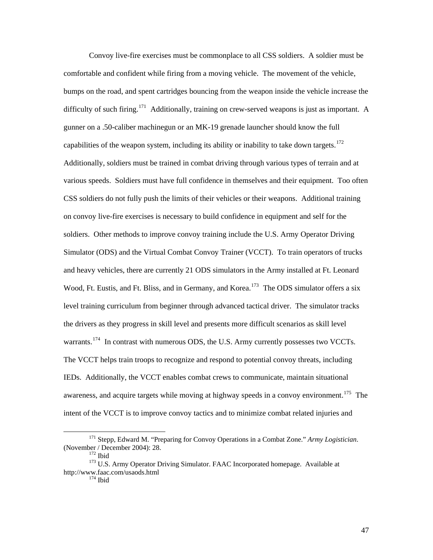Convoy live-fire exercises must be commonplace to all CSS soldiers. A soldier must be comfortable and confident while firing from a moving vehicle. The movement of the vehicle, bumps on the road, and spent cartridges bouncing from the weapon inside the vehicle increase the difficulty of such firing.<sup>[171](#page-52-0)</sup> Additionally, training on crew-served weapons is just as important. A gunner on a .50-caliber machinegun or an MK-19 grenade launcher should know the full capabilities of the weapon system, including its ability or inability to take down targets.<sup>[172](#page-52-1)</sup> Additionally, soldiers must be trained in combat driving through various types of terrain and at various speeds. Soldiers must have full confidence in themselves and their equipment. Too often CSS soldiers do not fully push the limits of their vehicles or their weapons. Additional training on convoy live-fire exercises is necessary to build confidence in equipment and self for the soldiers. Other methods to improve convoy training include the U.S. Army Operator Driving Simulator (ODS) and the Virtual Combat Convoy Trainer (VCCT). To train operators of trucks and heavy vehicles, there are currently 21 ODS simulators in the Army installed at Ft. Leonard Wood, Ft. Eustis, and Ft. Bliss, and in Germany, and Korea.<sup>[173](#page-52-2)</sup> The ODS simulator offers a six level training curriculum from beginner through advanced tactical driver. The simulator tracks the drivers as they progress in skill level and presents more difficult scenarios as skill level warrants.<sup>[174](#page-52-3)</sup> In contrast with numerous ODS, the U.S. Army currently possesses two VCCTs. The VCCT helps train troops to recognize and respond to potential convoy threats, including IEDs. Additionally, the VCCT enables combat crews to communicate, maintain situational awareness, and acquire targets while moving at highway speeds in a convoy environment.<sup>[175](#page-52-4)</sup> The intent of the VCCT is to improve convoy tactics and to minimize combat related injuries and

<span id="page-52-0"></span><sup>&</sup>lt;sup>171</sup> Stepp, Edward M. "Preparing for Convoy Operations in a Combat Zone." *Army Logistician*.<br>(November / December 2004): 28.<br><sup>172</sup> Ibid

<span id="page-52-4"></span><span id="page-52-3"></span><span id="page-52-2"></span><span id="page-52-1"></span><sup>&</sup>lt;sup>173</sup> U.S. Army Operator Driving Simulator. FAAC Incorporated homepage. Available at http://www.faac.com/usaods.html 174 Ibid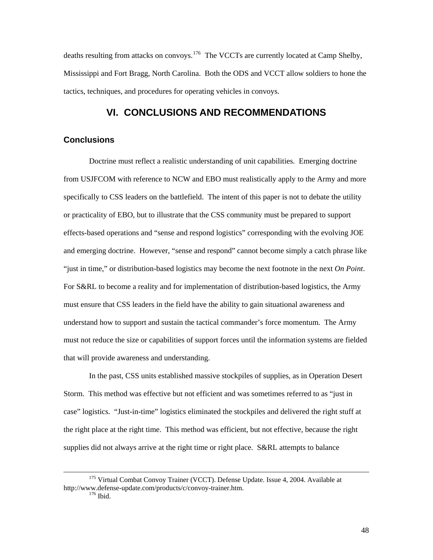<span id="page-53-0"></span>deaths resulting from attacks on convoys.<sup>[176](#page-53-1)</sup> The VCCTs are currently located at Camp Shelby, Mississippi and Fort Bragg, North Carolina. Both the ODS and VCCT allow soldiers to hone the tactics, techniques, and procedures for operating vehicles in convoys.

# **VI. CONCLUSIONS AND RECOMMENDATIONS**

## **Conclusions**

Doctrine must reflect a realistic understanding of unit capabilities. Emerging doctrine from USJFCOM with reference to NCW and EBO must realistically apply to the Army and more specifically to CSS leaders on the battlefield. The intent of this paper is not to debate the utility or practicality of EBO, but to illustrate that the CSS community must be prepared to support effects-based operations and "sense and respond logistics" corresponding with the evolving JOE and emerging doctrine. However, "sense and respond" cannot become simply a catch phrase like "just in time," or distribution-based logistics may become the next footnote in the next *On Point*. For S&RL to become a reality and for implementation of distribution-based logistics, the Army must ensure that CSS leaders in the field have the ability to gain situational awareness and understand how to support and sustain the tactical commander's force momentum. The Army must not reduce the size or capabilities of support forces until the information systems are fielded that will provide awareness and understanding.

In the past, CSS units established massive stockpiles of supplies, as in Operation Desert Storm. This method was effective but not efficient and was sometimes referred to as "just in case" logistics. "Just-in-time" logistics eliminated the stockpiles and delivered the right stuff at the right place at the right time. This method was efficient, but not effective, because the right supplies did not always arrive at the right time or right place. S&RL attempts to balance

<span id="page-53-1"></span><sup>&</sup>lt;sup>175</sup> Virtual Combat Convov Trainer (VCCT). Defense Update. Issue 4, 2004. Available at http://www.defense-update.com/products/c/convoy-trainer.htm. 176 Ibid.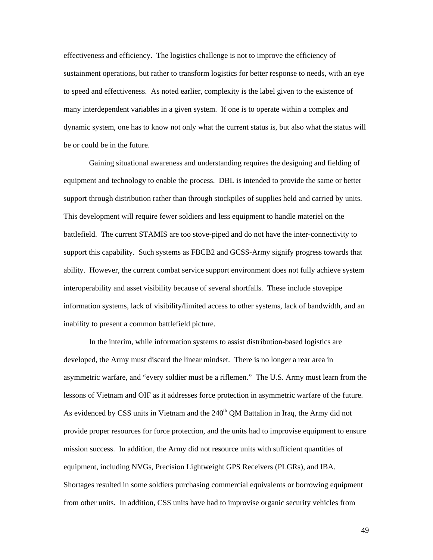effectiveness and efficiency. The logistics challenge is not to improve the efficiency of sustainment operations, but rather to transform logistics for better response to needs, with an eye to speed and effectiveness. As noted earlier, complexity is the label given to the existence of many interdependent variables in a given system. If one is to operate within a complex and dynamic system, one has to know not only what the current status is, but also what the status will be or could be in the future.

Gaining situational awareness and understanding requires the designing and fielding of equipment and technology to enable the process. DBL is intended to provide the same or better support through distribution rather than through stockpiles of supplies held and carried by units. This development will require fewer soldiers and less equipment to handle materiel on the battlefield. The current STAMIS are too stove-piped and do not have the inter-connectivity to support this capability. Such systems as FBCB2 and GCSS-Army signify progress towards that ability. However, the current combat service support environment does not fully achieve system interoperability and asset visibility because of several shortfalls. These include stovepipe information systems, lack of visibility/limited access to other systems, lack of bandwidth, and an inability to present a common battlefield picture.

In the interim, while information systems to assist distribution-based logistics are developed, the Army must discard the linear mindset. There is no longer a rear area in asymmetric warfare, and "every soldier must be a riflemen." The U.S. Army must learn from the lessons of Vietnam and OIF as it addresses force protection in asymmetric warfare of the future. As evidenced by CSS units in Vietnam and the  $240<sup>th</sup>$  QM Battalion in Iraq, the Army did not provide proper resources for force protection, and the units had to improvise equipment to ensure mission success. In addition, the Army did not resource units with sufficient quantities of equipment, including NVGs, Precision Lightweight GPS Receivers (PLGRs), and IBA. Shortages resulted in some soldiers purchasing commercial equivalents or borrowing equipment from other units. In addition, CSS units have had to improvise organic security vehicles from

49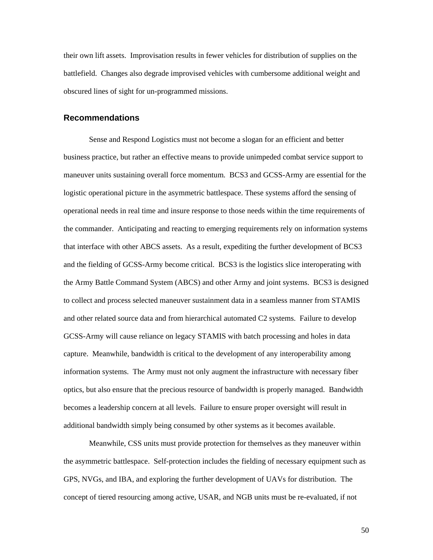<span id="page-55-0"></span>their own lift assets. Improvisation results in fewer vehicles for distribution of supplies on the battlefield. Changes also degrade improvised vehicles with cumbersome additional weight and obscured lines of sight for un-programmed missions.

#### **Recommendations**

Sense and Respond Logistics must not become a slogan for an efficient and better business practice, but rather an effective means to provide unimpeded combat service support to maneuver units sustaining overall force momentum. BCS3 and GCSS-Army are essential for the logistic operational picture in the asymmetric battlespace. These systems afford the sensing of operational needs in real time and insure response to those needs within the time requirements of the commander. Anticipating and reacting to emerging requirements rely on information systems that interface with other ABCS assets. As a result, expediting the further development of BCS3 and the fielding of GCSS-Army become critical. BCS3 is the logistics slice interoperating with the Army Battle Command System (ABCS) and other Army and joint systems. BCS3 is designed to collect and process selected maneuver sustainment data in a seamless manner from STAMIS and other related source data and from hierarchical automated C2 systems. Failure to develop GCSS-Army will cause reliance on legacy STAMIS with batch processing and holes in data capture. Meanwhile, bandwidth is critical to the development of any interoperability among information systems. The Army must not only augment the infrastructure with necessary fiber optics, but also ensure that the precious resource of bandwidth is properly managed. Bandwidth becomes a leadership concern at all levels. Failure to ensure proper oversight will result in additional bandwidth simply being consumed by other systems as it becomes available.

Meanwhile, CSS units must provide protection for themselves as they maneuver within the asymmetric battlespace. Self-protection includes the fielding of necessary equipment such as GPS, NVGs, and IBA, and exploring the further development of UAVs for distribution. The concept of tiered resourcing among active, USAR, and NGB units must be re-evaluated, if not

50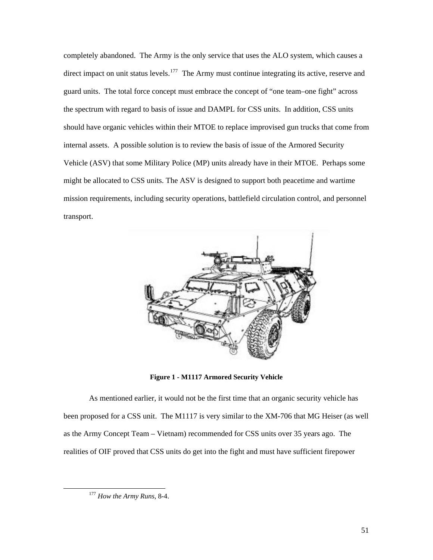<span id="page-56-0"></span>completely abandoned. The Army is the only service that uses the ALO system, which causes a direct impact on unit status levels.<sup>[177](#page-56-1)</sup> The Army must continue integrating its active, reserve and guard units. The total force concept must embrace the concept of "one team–one fight" across the spectrum with regard to basis of issue and DAMPL for CSS units. In addition, CSS units should have organic vehicles within their MTOE to replace improvised gun trucks that come from internal assets. A possible solution is to review the basis of issue of the Armored Security Vehicle (ASV) that some Military Police (MP) units already have in their MTOE. Perhaps some might be allocated to CSS units. The ASV is designed to support both peacetime and wartime mission requirements, including security operations, battlefield circulation control, and personnel transport.



**Figure 1 - M1117 Armored Security Vehicle** 

As mentioned earlier, it would not be the first time that an organic security vehicle has been proposed for a CSS unit. The M1117 is very similar to the XM-706 that MG Heiser (as well as the Army Concept Team – Vietnam) recommended for CSS units over 35 years ago. The realities of OIF proved that CSS units do get into the fight and must have sufficient firepower

<span id="page-56-1"></span> <sup>177</sup> *How the Army Runs*, 8-4.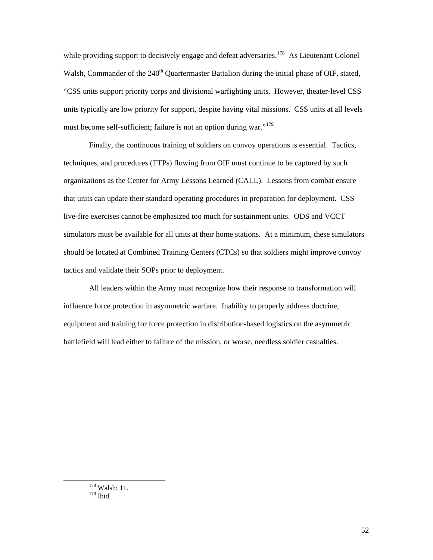while providing support to decisively engage and defeat adversaries.<sup>[178](#page-57-0)</sup> As Lieutenant Colonel Walsh, Commander of the 240<sup>th</sup> Quartermaster Battalion during the initial phase of OIF, stated, "CSS units support priority corps and divisional warfighting units. However, theater-level CSS units typically are low priority for support, despite having vital missions. CSS units at all levels must become self-sufficient; failure is not an option during war."<sup>[179](#page-57-1)</sup>

Finally, the continuous training of soldiers on convoy operations is essential. Tactics, techniques, and procedures (TTPs) flowing from OIF must continue to be captured by such organizations as the Center for Army Lessons Learned (CALL). Lessons from combat ensure that units can update their standard operating procedures in preparation for deployment. CSS live-fire exercises cannot be emphasized too much for sustainment units. ODS and VCCT simulators must be available for all units at their home stations. At a minimum, these simulators should be located at Combined Training Centers (CTCs) so that soldiers might improve convoy tactics and validate their SOPs prior to deployment.

All leaders within the Army must recognize how their response to transformation will influence force protection in asymmetric warfare. Inability to properly address doctrine, equipment and training for force protection in distribution-based logistics on the asymmetric battlefield will lead either to failure of the mission, or worse, needless soldier casualties.

<span id="page-57-1"></span><span id="page-57-0"></span>178 Walsh: 11. 179 Ibid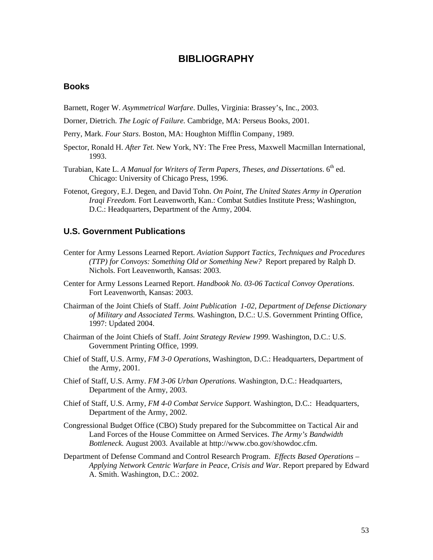# **BIBLIOGRAPHY**

## <span id="page-58-0"></span>**Books**

Barnett, Roger W. *Asymmetrical Warfare*. Dulles, Virginia: Brassey's, Inc., 2003.

Dorner, Dietrich. *The Logic of Failure.* Cambridge, MA: Perseus Books, 2001.

- Perry, Mark. *Four Stars*. Boston, MA: Houghton Mifflin Company, 1989.
- Spector, Ronald H. *After Tet.* New York, NY: The Free Press, Maxwell Macmillan International, 1993.
- Turabian, Kate L. *A Manual for Writers of Term Papers, Theses, and Dissertations.* 6<sup>th</sup> ed. Chicago: University of Chicago Press, 1996.
- Fotenot, Gregory, E.J. Degen, and David Tohn. *On Point, The United States Army in Operation Iraqi Freedom.* Fort Leavenworth, Kan.: Combat Sutdies Institute Press; Washington, D.C.: Headquarters, Department of the Army, 2004.

#### **U.S. Government Publications**

- Center for Army Lessons Learned Report. *Aviation Support Tactics, Techniques and Procedures (TTP) for Convoys: Something Old or Something New?* Report prepared by Ralph D. Nichols. Fort Leavenworth, Kansas: 2003.
- Center for Army Lessons Learned Report. *Handbook No. 03-06 Tactical Convoy Operations*. Fort Leavenworth, Kansas: 2003.
- Chairman of the Joint Chiefs of Staff. *Joint Publication 1-02, Department of Defense Dictionary of Military and Associated Terms.* Washington, D.C.: U.S. Government Printing Office, 1997: Updated 2004.
- Chairman of the Joint Chiefs of Staff. *Joint Strategy Review 1999*. Washington, D.C.: U.S. Government Printing Office, 1999.
- Chief of Staff, U.S. Army, *FM 3-0 Operations*, Washington, D.C.: Headquarters, Department of the Army, 2001.
- Chief of Staff, U.S. Army. *FM 3-06 Urban Operations.* Washington, D.C.: Headquarters, Department of the Army, 2003.
- Chief of Staff, U.S. Army, *FM 4-0 Combat Service Support.* Washington, D.C.: Headquarters, Department of the Army, 2002.
- Congressional Budget Office (CBO) Study prepared for the Subcommittee on Tactical Air and Land Forces of the House Committee on Armed Services. *The Army's Bandwidth Bottleneck*. August 2003. Available at http://www.cbo.gov/showdoc.cfm.
- Department of Defense Command and Control Research Program. *Effects Based Operations Applying Network Centric Warfare in Peace, Crisis and War.* Report prepared by Edward A. Smith. Washington, D.C.: 2002.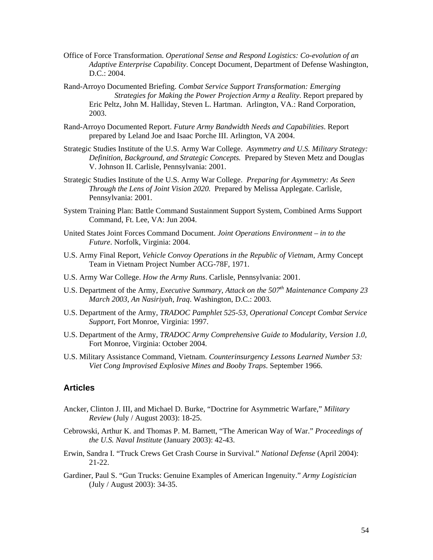- <span id="page-59-0"></span>Office of Force Transformation. *Operational Sense and Respond Logistics: Co-evolution of an Adaptive Enterprise Capability*. Concept Document, Department of Defense Washington, D.C.: 2004.
- Rand-Arroyo Documented Briefing. *Combat Service Support Transformation: Emerging Strategies for Making the Power Projection Army a Reality*. Report prepared by Eric Peltz, John M. Halliday, Steven L. Hartman. Arlington, VA.: Rand Corporation, 2003.
- Rand-Arroyo Documented Report. *Future Army Bandwidth Needs and Capabilities*. Report prepared by Leland Joe and Isaac Porche III. Arlington, VA 2004.
- Strategic Studies Institute of the U.S. Army War College. *Asymmetry and U.S. Military Strategy: Definition, Background, and Strategic Concepts.* Prepared by Steven Metz and Douglas V. Johnson II. Carlisle, Pennsylvania: 2001.
- Strategic Studies Institute of the U.S. Army War College. *Preparing for Asymmetry: As Seen Through the Lens of Joint Vision 2020.* Prepared by Melissa Applegate. Carlisle, Pennsylvania: 2001.
- System Training Plan: Battle Command Sustainment Support System, Combined Arms Support Command, Ft. Lee, VA: Jun 2004.
- United States Joint Forces Command Document. *Joint Operations Environment in to the Future*. Norfolk, Virginia: 2004.
- U.S. Army Final Report, *Vehicle Convoy Operations in the Republic of Vietnam*, Army Concept Team in Vietnam Project Number ACG-78F, 1971.
- U.S. Army War College. *How the Army Runs*. Carlisle, Pennsylvania: 2001.
- U.S. Department of the Army, *Executive Summary*, *Attack on the 507<sup>th</sup> Maintenance Company 23 March 2003, An Nasiriyah, Iraq*. Washington, D.C.: 2003.
- U.S. Department of the Army, *TRADOC Pamphlet 525-53, Operational Concept Combat Service Support,* Fort Monroe, Virginia: 1997.
- U.S. Department of the Army, *TRADOC Army Comprehensive Guide to Modularity, Version 1.0,* Fort Monroe, Virginia: October 2004.
- U.S. Military Assistance Command, Vietnam. *Counterinsurgency Lessons Learned Number 53: Viet Cong Improvised Explosive Mines and Booby Traps*. September 1966.

# **Articles**

- Ancker, Clinton J. III, and Michael D. Burke, "Doctrine for Asymmetric Warfare," *Military Review* (July / August 2003): 18-25.
- Cebrowski, Arthur K. and Thomas P. M. Barnett, "The American Way of War." *Proceedings of the U.S. Naval Institute* (January 2003): 42-43.
- Erwin, Sandra I. "Truck Crews Get Crash Course in Survival." *National Defense* (April 2004): 21-22.
- Gardiner, Paul S. "Gun Trucks: Genuine Examples of American Ingenuity." *Army Logistician* (July / August 2003): 34-35.